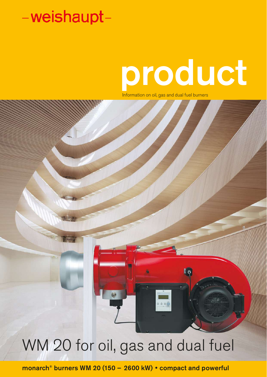# product

Information on oil, gas and dual fuel burners

# $\overline{\mathbb{F}_p}$  $\sqrt{10}$

WM 20 for oil, gas and dual fuel

monarch® burners WM 20 (150 – 2600 kW) • compact and powerful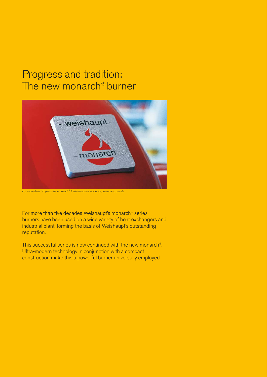# Progress and tradition: The new monarch® burner



*For more than 50 years the monarch® trademark has stood for power and quality*

For more than five decades Weishaupt's monarch® series burners have been used on a wide variety of heat exchangers and industrial plant, forming the basis of Weishaupt's outstanding reputation.

This successful series is now continued with the new monarch®. Ultra-modern technology in conjunction with a compact construction make this a powerful burner universally employed.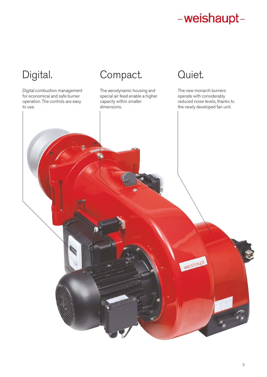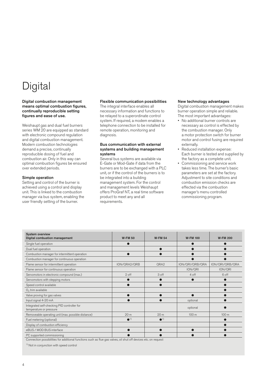# **Digital**

## Digital combustion management means optimal combustion figures, continually reproducible setting figures and ease of use.

Weishaupt gas and dual fuel burners series WM 20 are equipped as standard with electronic compound regulation and digital combustion management. Modern combustion technologies demand a precise, continually reproducible dosing of fuel and combustion air. Only in this way can optimal combustion figures be ensured over extended periods.

## Simple operation

Setting and control of the burner is achieved using a control and display unit. This is linked to the combustion manager via bus system, enabling the user friendly setting of the burner.

## Flexible communication possibilities

The integral interface enables all necessary information and functions to be relayed to a superordinate control system. If required, a modem enables a telephone connection to be installed for remote operation, monitoring and diagnosis.

## Bus communication with external systems and building management systems

Several bus systems are available via E-Gate or Mod-Gate if data from the burners are to be exchanged with a PLC unit, or if the control of the burners is to be integrated into a building management system. For the control and management levels Weishaupt offers ProGraf NT, a real time software product to meet any and all requirements.

## New technology advantages

Digital combustion management makes burner operation simple and reliable. The most important advantages:

- No additional burner controls are necessary as control is effected by the combustion manager. Only a motor protection switch for burner motor and control fusing are required externally.
- Reduced installation expense: Each burner is tested and supplied by the factory as a complete unit.
- Commissioning and service work takes less time. The burner's basic parameters are set at the factory. Adjustment to site conditions and combustion emission checks are effected via the combustion manager's menu controlled commissioning program.

| <b>System overview</b><br>Digital combustion management                | <b>W-FM 50</b>          | <b>W-FM 54</b>          | <b>W-FM 100</b>  | <b>W-FM 200</b>  |
|------------------------------------------------------------------------|-------------------------|-------------------------|------------------|------------------|
| Single fuel operation                                                  |                         |                         |                  |                  |
| Dual fuel operation                                                    |                         |                         |                  |                  |
| Combustion manager for intermittent operation                          |                         |                         |                  |                  |
| Combustion manager for continuous operation                            |                         |                         |                  |                  |
| Flame sensor for intermittent operation                                | ION/QRA2/QRB            | QRA2                    | ION/QRI/QRB/QRA  | ION/QRI/QRB/QRA  |
| Flame sensor for continuous operation                                  |                         |                         | ION/QRI          | ION/ORI          |
| Servomotors in electronic compound (max.)                              | 2 off                   | 3 off                   | 4 off            | 6 off            |
| Servomotors with stepping motors                                       |                         |                         |                  |                  |
| Speed control available                                                |                         |                         |                  |                  |
| $O2$ trim available                                                    |                         |                         |                  |                  |
| Valve proving for gas valves                                           |                         |                         |                  |                  |
| Input signal 4-20 mA                                                   |                         |                         | optional         |                  |
| Integrated self-checking PID controller for<br>temperature or pressure |                         |                         | optional         |                  |
| Removeable operating unit (max. possible distance)                     | 20 <sub>m</sub>         | 20 <sub>m</sub>         | 100 <sub>m</sub> | 100 <sub>m</sub> |
| Fuel metering (optional)                                               | $\bullet$ <sup>1)</sup> | $\bullet$ <sup>1)</sup> |                  |                  |
| Display of combustion efficiency                                       |                         |                         |                  |                  |
| eBUS / MOD BUS interface                                               |                         |                         |                  |                  |
| PC supported commissioning                                             |                         |                         |                  |                  |

Connection possibilities for additional functions such as flue gas valves, oil shut off devices etc. on request

<sup>1)</sup> Not in conjunction with speed control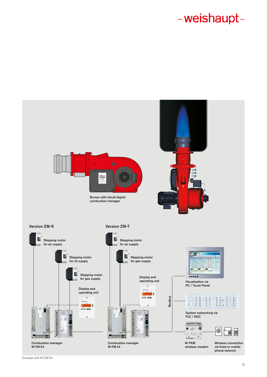

*Example with W-FM 54*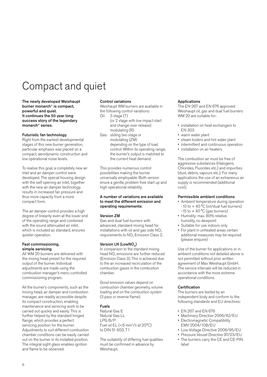# Compact and quiet

The newly developed Weishaupt burner monarch® is compact, powerful and quiet. It continues the 50 year long success story of the legendary monarch® series.

## Futuristic fan technology

Right from the earliest developmental stages of this new burner generation, particular emphasis was placed on a compact, aerodynamic construction and low operational noise levels.

To realise this goal, a completely new air inlet and air damper control were developed. The special housing design with the self opening air inlet, together with the new air damper technology, results in increased fan pressure and thus more capacity from a more compact form.

The air damper control provides a high degree of linearity even at the lower end of the operating range and combined with the sound attenuated air inlet. which is included as standard, ensures quieter operation.

## Fast commissioning, simple servicing

All WM 20 burners are delivered with the mixing head preset for the required output of the burner. Individual adjustments are made using the combustion manager's menu controlled commissioning program.

All the burner's components, such as the mixing head, air damper and combustion manager, are readily accessible despite its compact construction, enabling maintenance and servicing work to be carried out quickly and easily. This is further helped by the standard hinged flange, which provides a perfect servicing position for the burner. Adjustments to suit different combustion chamber conditions can be easily carried out on the burner in its installed position. The integral sight glass enables ignition and flame to be observed.

## Control variations

Weishaupt WM burners are available in the following control variations:<br>Oil:  $3 \text{ stage (T)}$ 

- 3 stage (T) (or 2 stage with low impact start and change-over release) modulating (R)
- Gas: sliding two stage or modulating (ZM) depending on the type of load control: Within its operating range, the burner's output is matched to the current heat demand.

This provides numerous control possibilities making the burner universally employable. Both version enure a gentle, problem free start up and high operational reliability.

## A number of variations are available to meet the different emission and operating requirements:

## Version ZM

Gas and dual fuel burners with advanced, standard mixing head for installations with oil and gas side  $NO<sub>x</sub>$ requirements to NO<sub>x</sub> Emission Class 2.

## Version LN (LowNO<sub>v</sub>)

In comparison to the standard mixing head NO<sub>x</sub> emissions are further reduced (Emission Class 3). This is achieved due to the an increased recirculation of the combustion gases in the combustion chamber.

Good emission values depend on combustion chamber geometry, volume loading and on the combustion system (3 pass or reverse flame).

## Fuels

Natural Gas E Natural Gas LL LPG B/P Fuel oil  $EL$  (<6 mm<sup>2</sup>/s at 20 $^{\circ}$ C) to DIN 51 603, T1

The suitability of differing fuel qualities must be confirmed in advance by Weishaupt.

## Applications

The EN 267 and EN 676 approved Weishaupt oil, gas and dual fuel burners WM 20 are suitable for:

- installation on heat exchangers to EN 303
- warm water plant
- steam boilers and hot water plant
- intermittent and continuous operation
- installation on air heaters

The combustion air must be free of aggressive substances (Halogens, Chlorides, Fluorides etc.) and impurities (dust, debris, vapours etc.). For many applications the use of an extraneous air supply is recommended (additional cost).

# Permissible ambient conditions

- Ambient temperature during operation -10 to + 40 °C (oil/dual fuel burners)
- $-15$  to  $+40$  °C (gas burners) • Humidity: max. 80% relative
- humidity, no dewpoint • Suitable for use indoors only
- For plant in unheated areas certain additional measures may be required (please enquire)

Use of the burner for applications or in ambient conditions not detailed above is not permitted without prior written agreement of Max Weishaupt GmbH. The service intervals will be reduced in accordance with the more extreme operational conditions.

## **Certification**

The burners are tested by an independent body and conform to the following standards and EU directives:

- EN 267 and EN 676
- Machinery Directive 2006/42/EU
- Electromagnetic Compatibility EMV 2004/108/EU
- Low Voltage Directive 2006/95/EU
- Pressure Vessel Directive 97/23/EU • The burners carry the CE and CE-PIN label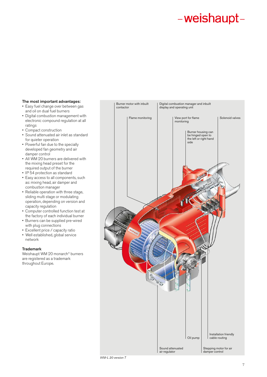## The most important advantages:

- Easy fuel change over between gas and oil on dual fuel burners
- Digital combustion management with electronic compound regulation at all ratings
- Compact construction
- Sound attenuated air inlet as standard for quieter operation
- Powerful fan due to the specially developed fan geometry and air damper control
- All WM 20 burners are delivered with the mixing head preset for the required output of the burner
- IP 54 protection as standard
- Easy access to all components, such as: mixing head, air damper and combustion manager
- Reliable operation with three stage, sliding multi stage or modulating operation, depending on version and capacity regulation
- Computer controlled function test at the factory of each individual burner
- Burners can be supplied pre-wired with plug connections
- Excellent price / capacity ratio
- Well established, global service network

# Trademark

Weishaupt WM 20 monarch® burners are registered as a trademark throughout Europe.

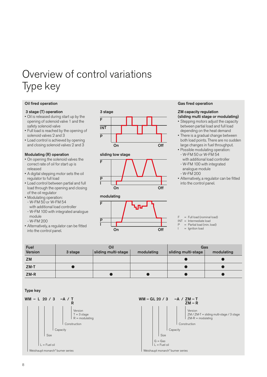# Overview of control variations Type key

## Oil fired operation

## 3 stage (T) operation

- Oil is released during start up by the opening of solenoid valve 1 and the safety solenoid valve
- Full load is reached by the opening of solenoid valves 2 and 3
- Load control is achieved by opening and closing solenoid valves 2 and 3

## Modulating (R) operation

- On opening the solenoid valves the correct rate of oil for start up is released
- A digital stepping motor sets the oil regulator to full load
- Load control between partial and full load through the opening and closing of the oil regulator
- Modulating operation: - W-FM 50 or W-FM 54
- with additional load controller - W-FM 100 with integrated analogue module
- W-FM 200
- Alternatively, a regulator can be fitted
- into the control panel.







## Gas fired operation

# ZM capacity regulation

- (sliding multi stage or modulating) • Stepping motors adjust the capacity between partial load and full load depending on the heat demand
- There is a gradual change between both load points. There are no sudden large changes in fuel throughput.
- Possible modulating operation: - W-FM 50 or W-FM 54 with additional load controller - W-FM 100 with integrated
- analogue module - W-FM 200
- Alternatively, a regulator can be fitted into the control panel.

 $F = Full load (nominal load)$  $INT = Intermediate load$ <br> $P = Partial load (min. 1)$ 

- = Partial load (min. load)
- $=$  Ignition load

| <b>Fuel</b>    |         | Oil                 |            | Gas                 |            |  |  |  |  |
|----------------|---------|---------------------|------------|---------------------|------------|--|--|--|--|
| <b>Version</b> | 3 stage | sliding multi-stage | modulating | sliding multi-stage | modulating |  |  |  |  |
| <b>ZM</b>      |         |                     |            |                     |            |  |  |  |  |
| $ZM-T$         |         |                     |            |                     |            |  |  |  |  |
| $ZM-R$         |         |                     |            |                     |            |  |  |  |  |

Type key

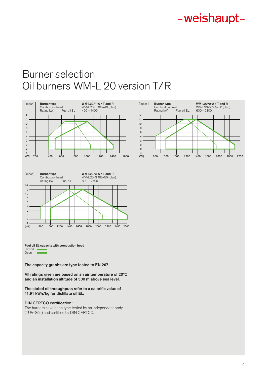# Burner selection Oil burners WM-L 20 version T/R





Fuel oil EL capacity with combustion head Closed Open

The capacity graphs are type tested to EN 267.

All ratings given are based on an air temperature of 20°C and an installation altitude of 500 m above sea level.

The stated oil throughputs refer to a calorific value of 11.91 kWh/kg for distillate oil EL.

## DIN CERTCO certification:

The burners have been type tested by an independent body (TÜV-Süd) and certified by DIN CERTCO.

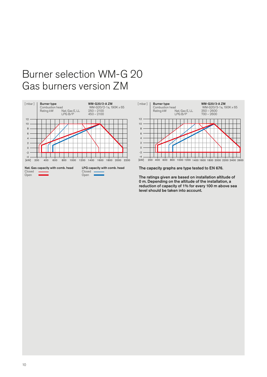# Burner selection WM-G 20 Gas burners version ZM





The capacity graphs are type tested to EN 676.

The ratings given are based on installation altitude of 0 m. Depending on the altitude of the installation, a reduction of capacity of 1% for every 100 m above sea level should be taken into account.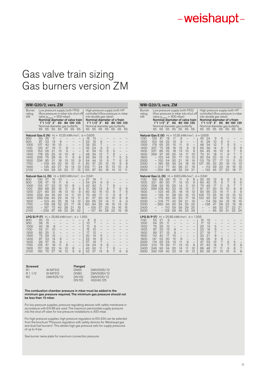# Gas valve train sizing Gas burners version ZM

| <b>WM-G20/2, vers. ZM</b>                                                                                |                                                                                                    |                                                                                                                         |                                                                     |                                                                |                                                                       |                                                                              |                                                                                                                 |                                                                                                                                 |                                                                  |                                                              |                                                                                                                                                                      |                                                |                                                                     |                                                                     |
|----------------------------------------------------------------------------------------------------------|----------------------------------------------------------------------------------------------------|-------------------------------------------------------------------------------------------------------------------------|---------------------------------------------------------------------|----------------------------------------------------------------|-----------------------------------------------------------------------|------------------------------------------------------------------------------|-----------------------------------------------------------------------------------------------------------------|---------------------------------------------------------------------------------------------------------------------------------|------------------------------------------------------------------|--------------------------------------------------------------|----------------------------------------------------------------------------------------------------------------------------------------------------------------------|------------------------------------------------|---------------------------------------------------------------------|---------------------------------------------------------------------|
| <b>Burner</b><br>rating<br>kW                                                                            | 65                                                                                                 | Low pressure supply (with FRS)<br>valve, $p_{e,max} = 300$ mbar)<br>1"1 1/2" 2"<br>Nominal diameter gas butterfly<br>65 | 65                                                                  | 65                                                             | 65 80 100 125<br>65                                                   | 65                                                                           | (flow pressure in mbar into shut off<br>Nominal diameter of valve train<br>65                                   | 65                                                                                                                              | 1"1 1/2" 2"<br>65                                                | 65                                                           | High pressure supply (with HP<br>controller) (flow pressure in mbar<br>into double gas valve)<br>Nominal diameter of v/train<br>Nominal diameter gas butterfly<br>65 | 65                                             | 65 80 100 125<br>65                                                 | 65                                                                  |
| Natural Gas E (N)<br>800<br>900<br>1000<br>1100<br>1200<br>1300<br>1400<br>1500<br>1700<br>1900<br>2100  | 69<br>87<br>107<br>129<br>153<br>178<br>206<br>236<br>$\qquad \qquad -$                            | 26<br>33<br>40<br>47<br>56<br>65<br>75<br>85<br>109<br>135<br>164                                                       | 11<br>13<br>16<br>19<br>21<br>25<br>28<br>31<br>40<br>49<br>59      | 8<br>10<br>11<br>13<br>14<br>16<br>18<br>22<br>27<br>33        | 8<br>9<br>10<br>11<br>13<br>16<br>19<br>22                            | 8<br>9<br>10<br>12<br>14<br>17                                               | 8<br>9<br>11<br>13<br>15                                                                                        | H <sub>i</sub> = 10.35 kWh/mn <sup>3</sup> ; d = 0.606<br>18<br>23<br>29<br>35<br>41<br>48<br>56<br>64<br>82<br>102<br>195      | 13<br>16<br>20<br>94<br>29<br>34<br>39<br>44<br>57<br>71<br>87   | 6<br>7<br>9<br>10<br>12<br>13<br>15<br>20<br>94<br>30        | 5<br>6<br>7<br>8<br>9<br>12<br>15<br>18                                                                                                                              | 5<br>6<br>7<br>7<br>10<br>12<br>14             | 5<br>6<br>8<br>10<br>12                                             | 5<br>6<br>8<br>9<br>11                                              |
| Natural Gas LL (N)<br>800<br>900<br>1000<br>1100<br>1200<br>1300<br>1400<br>1500<br>1700<br>1900<br>2100 | 100<br>126<br>155<br>186<br>221<br>259<br>299 108<br>$\qquad \qquad -$<br>$\overline{\phantom{0}}$ | 37<br>47<br>57<br>68<br>80<br>94<br>123<br>158<br>197<br>$-239$                                                         | 15<br>19<br>22<br>26<br>30<br>35<br>40<br>45<br>58<br>72<br>87      | 10<br>11<br>13<br>16<br>18<br>20<br>23<br>25<br>32<br>40<br>48 | 9<br>10<br>11<br>13<br>14<br>16<br>18<br>23<br>28<br>33               | $\overline{\phantom{0}}$<br>8<br>9<br>10<br>11<br>12<br>14<br>17<br>21<br>25 | $\overline{\phantom{0}}$<br>8<br>9<br>10<br>11<br>12<br>16<br>19<br>22                                          | $H_i = 8.83$ kWh/mn <sup>3</sup> ; d = 0.641<br>97<br>34<br>42<br>51<br>60<br>70<br>81<br>93<br>120<br>$\overline{\phantom{0}}$ | 19<br>24<br>30<br>36<br>42<br>49<br>57<br>65<br>84<br>105<br>127 | 7<br>9<br>11<br>13<br>15<br>17<br>20<br>23<br>29<br>37<br>45 | 6<br>7<br>8<br>10<br>11<br>12<br>14<br>18<br>23<br>28                                                                                                                | 6<br>7<br>8<br>9<br>10<br>11<br>15<br>19<br>22 | $\overline{\phantom{0}}$<br>6<br>7<br>8<br>9<br>9<br>13<br>16<br>19 | $\overline{\phantom{0}}$<br>6<br>6<br>7<br>8<br>9<br>12<br>15<br>18 |
| LPGB/P(F)<br>800<br>900<br>1000<br>1100<br>1200<br>1300<br>1400<br>1500<br>1700<br>1900<br>2100          | 30<br>38<br>46<br>55<br>65<br>75<br>87<br>99<br>126<br>157<br>192                                  | 13<br>15<br>18<br>21<br>25<br>29<br>33<br>37<br>47<br>58<br>70                                                          | $\overline{a}$<br>8<br>10<br>11<br>12<br>14<br>15<br>18<br>22<br>27 | -<br>9<br>9<br>11<br>14<br>16                                  | $\overline{\phantom{0}}$<br>$\overline{\phantom{0}}$<br>8<br>10<br>12 | $\overline{\phantom{0}}$<br>$\overline{\phantom{0}}$<br>8<br>$\Omega$        | $H_i = 25.89$ kWh/mn <sup>3</sup> ; d = 1.555<br>-<br>$\overline{\phantom{0}}$<br>$\overline{\phantom{0}}$<br>9 | 8<br>10<br>12<br>15<br>17<br>20<br>23<br>27<br>34<br>43<br>52                                                                   | 6<br>7<br>9<br>10<br>12<br>14<br>16<br>19<br>94<br>30<br>37      | -<br>$\overline{a}$<br>5<br>6<br>7<br>9<br>11<br>13          | $\overline{\phantom{0}}$<br>-<br>$\overline{\phantom{0}}$<br>$\overline{\phantom{0}}$<br>$\overline{\phantom{0}}$<br>6<br>7<br>8                                     | —<br>$\overline{\phantom{0}}$<br>6<br>7        | -<br>6                                                              | 6                                                                   |

| <b>Screwed</b> |           | Flanged      |            |
|----------------|-----------|--------------|------------|
| R <sub>1</sub> | W-MF512   | <b>DN65</b>  | DMV5065/12 |
| R 1 1/2        | W-MF512   | DN80         | DMV5080/12 |
| R <sub>2</sub> | DMV525/12 | <b>DN100</b> | DMV5100/12 |
|                |           | DN195        | VGD40.125  |

# The combustion chamber pressure in mbar must be added to the minimum gas pressure required. The minimum gas pressure should not be less than 15 mbar.

For low pressure supplies, pressure regulating devices with safety membrane in accordance with EN 88 are used. The maximum permissible supply pressure into the shut off valve for low pressure installations is 300 mbar.

For high pressure supplies, high pressure regulators to EN 334 can be selected<br>from the brochure "Pressure regulators with safety devices for Weishaupt gas<br>and dual fuel burners". This details high gas pressure sets for su of up to 4 bar.

See burner name plate for maximum connection pressure.

| <b>WM-G20/3, vers. ZM</b>                                                                                                                            |                                                                          |                                                                          |                                                                  |                                                                              |                                                                |                                                               |                                                                                            |                                                                |                                                                  |                                                                |                                                              |                                                             |                                                                                                                                                             |                                                           |
|------------------------------------------------------------------------------------------------------------------------------------------------------|--------------------------------------------------------------------------|--------------------------------------------------------------------------|------------------------------------------------------------------|------------------------------------------------------------------------------|----------------------------------------------------------------|---------------------------------------------------------------|--------------------------------------------------------------------------------------------|----------------------------------------------------------------|------------------------------------------------------------------|----------------------------------------------------------------|--------------------------------------------------------------|-------------------------------------------------------------|-------------------------------------------------------------------------------------------------------------------------------------------------------------|-----------------------------------------------------------|
| Burner<br>rating<br>kW                                                                                                                               | valve, $p_{e,max} = 300$ mbar)<br>65                                     | 1"1 1/2" 2"<br>65                                                        | 65                                                               | Low pressure supply (with FRS)<br>65<br>Nominal diameter gas butterfly<br>65 | 65                                                             | 80 100 125<br>65                                              | (flow pressure in mbar into shut off<br>Nominal diameter of valve train<br>6b              | 65                                                             | into double gas valve)<br>1"1 1/2" 2"<br>65                      | 65                                                             | 65                                                           | 65                                                          | High pressure supply (with HP<br>controller) (flow pressure in mbar<br>Nominal diameter of v/train<br>65 80 100 125<br>Nominal diameter gas butterfly<br>65 | 65                                                        |
| Natural Gas E (N)<br>1100<br>1200<br>1300<br>1400<br>1500<br>1600<br>1800<br>2000<br>2200<br>2400<br>2600                                            | 129<br>153<br>179<br>207<br>237<br>269                                   | 47<br>56<br>65<br>75<br>86<br>97<br>199<br>150<br>180<br>$-914$<br>– 250 | 19<br>22<br>25<br>28<br>32<br>36<br>44<br>54<br>65<br>77<br>89   | 11<br>13<br>15<br>16<br>18<br>20<br>25<br>30<br>36<br>42<br>48               | 8<br>9<br>11<br>12<br>13<br>14<br>17<br>21<br>24<br>28<br>32   | 9<br>9<br>10<br>11<br>13<br>16<br>18<br>21<br>94              | $H_i = 10.35 \text{ kWh/mm}^3$ ; d = 0.606<br>9<br>9<br>10<br>12<br>14<br>16<br>19<br>21   | 35<br>41<br>48<br>56<br>64<br>73<br>92<br>113<br>137           | 24<br>29<br>34<br>39<br>45<br>51<br>64<br>79<br>95<br>113<br>132 | 9<br>10<br>12<br>14<br>16<br>18<br>22<br>27<br>33<br>39<br>45  | 5<br>6<br>7<br>9<br>10<br>11<br>13<br>17<br>20<br>23<br>97   | 5<br>6<br>7<br>8<br>9<br>11<br>13<br>16<br>19<br>22         | 5<br>6<br>7<br>7<br>9<br>11<br>13<br>16<br>18                                                                                                               | 6<br>6<br>7<br>9<br>10<br>13<br>15<br>17                  |
| <b>Natural Gas LL (N)</b> $H_i = 8.83$ kWh/mn <sup>3</sup> ;<br>1100<br>1200<br>1300<br>1400<br>1500<br>1600<br>1800<br>2000<br>2200<br>2400<br>2600 | 186<br>221<br>258<br>299 108<br>-                                        | 68<br>80<br>93<br>123<br>139<br>175<br>216<br>$-960$                     | 26<br>30<br>35<br>40<br>45<br>51<br>63<br>77<br>93<br>110<br>128 | 15<br>17<br>20<br>23<br>25<br>28<br>35<br>42<br>50<br>59<br>68               | 11<br>13<br>14<br>16<br>18<br>20<br>23<br>29<br>34<br>39<br>45 | 9<br>10<br>11<br>12<br>14<br>15<br>17<br>21<br>25<br>29<br>33 | 8<br>9<br>10<br>11<br>12<br>13<br>16<br>19<br>22<br>25<br>29                               | $d = 0.641$<br>50<br>60<br>70<br>81<br>93<br>106<br>133        | 35<br>42<br>49<br>57<br>65<br>73<br>92<br>114<br>138             | 12<br>15<br>17<br>20<br>23<br>25<br>32<br>39<br>47<br>56<br>65 | 8<br>9<br>11<br>12<br>14<br>16<br>19<br>24<br>28<br>33<br>39 | 6<br>7<br>9<br>10<br>11<br>13<br>15<br>19<br>23<br>27<br>31 | 5<br>6<br>7<br>8<br>9<br>10<br>13<br>16<br>19<br>22<br>25                                                                                                   | 5<br>6<br>7<br>8<br>9<br>10<br>12<br>15<br>18<br>21<br>24 |
| LPG B/P (F)<br>1100<br>1200<br>1300<br>1400<br>1500<br>1600<br>1800<br>2000<br>2200<br>2400<br>2600                                                  | 55<br>64<br>75<br>87<br>99<br>112<br>141<br>174<br>210<br>249<br>292 106 | 21<br>25<br>29<br>33<br>37<br>42<br>52<br>63<br>76<br>90                 | 9<br>11<br>12<br>13<br>15<br>17<br>20<br>94<br>29<br>34<br>40    | $\overline{\phantom{0}}$<br>9<br>9<br>10<br>12<br>14<br>17<br>20<br>23       | 9<br>11<br>12<br>14<br>16                                      | 9<br>10<br>11<br>13                                           | $H_i = 25.89$ kWh/mn <sup>3</sup> ; d = 1.555<br>$\overline{\phantom{0}}$<br>9<br>10<br>12 | 15<br>17<br>20<br>23<br>27<br>30<br>38<br>47<br>57<br>68<br>80 | 10<br>12<br>14<br>16<br>19<br>91<br>26<br>33<br>40<br>48<br>56   | 5<br>6<br>7<br>8<br>9<br>12<br>14<br>17<br>20                  | -<br>6<br>7<br>9<br>11<br>13                                 | 6<br>7<br>9<br>10                                           | $\overline{\phantom{0}}$<br>5<br>6<br>8<br>9                                                                                                                | 6<br>7<br>8                                               |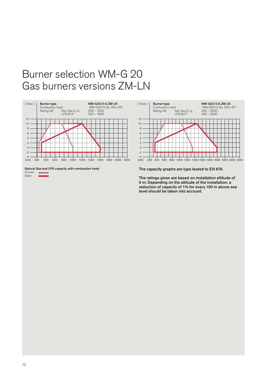# Burner selection WM-G 20 Gas burners versions ZM-LN



Natural Gas and LPG capacity with combustion head Closed Open



The capacity graphs are type tested to EN 676.

The ratings given are based on installation altitude of 0 m. Depending on the altitude of the installation, a reduction of capacity of 1% for every 100 m above sea level should be taken into account.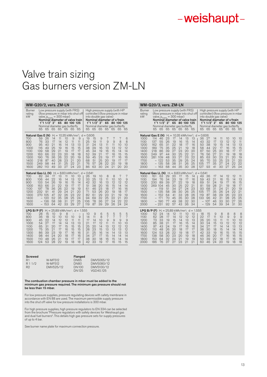# Valve train sizing Gas burners version ZM-LN

|                                                                                                 | <b>WM-G20/2, vers. ZM-LN</b>                                    |                                                           |                                                          |                                                                                                                             |                                                          |                                                          |                                                                                                    |                                                                                                                    |                                                          |                                                          |                                                         |                                                         |                                                                                                                                                          |                                                        |
|-------------------------------------------------------------------------------------------------|-----------------------------------------------------------------|-----------------------------------------------------------|----------------------------------------------------------|-----------------------------------------------------------------------------------------------------------------------------|----------------------------------------------------------|----------------------------------------------------------|----------------------------------------------------------------------------------------------------|--------------------------------------------------------------------------------------------------------------------|----------------------------------------------------------|----------------------------------------------------------|---------------------------------------------------------|---------------------------------------------------------|----------------------------------------------------------------------------------------------------------------------------------------------------------|--------------------------------------------------------|
| Burner<br>rating<br>kW                                                                          | 65                                                              | 1"1 1/2" 2"<br>65                                         | 65                                                       | Low pressure supply (with FRS)<br>valve, $p_{\text{emax}} = 300 \text{ mbar}$<br>65<br>Nominal diameter gas butterfly<br>65 | 65                                                       | 80 100 125<br>65                                         | (flow pressure in mbar into shut off<br>Nominal diameter of valve train<br>65                      | 65                                                                                                                 | 1"1'1/2"2"<br>65                                         | into double gas valve)<br>65                             | 65<br>65                                                | 65                                                      | High pressure supply (with HP<br>controller) (flow pressure in mbar<br>Nominal diameter of v/train<br>80 100 125<br>Nominal diameter gas butterfly<br>65 | 65                                                     |
| Natural Gas E (N)<br>700<br>800<br>900<br>1000<br>1100<br>1200<br>1300<br>1400<br>1500<br>1600  | 59<br>76<br>95<br>116<br>139<br>163<br>190<br>218<br>249<br>282 | 26<br>33<br>40<br>49<br>58<br>66<br>76<br>87<br>98<br>110 | 14<br>17<br>21<br>25<br>29<br>32<br>36<br>40<br>44<br>49 | 11<br>14<br>16<br>19<br>21<br>23<br>26<br>28<br>31<br>33                                                                    | 10<br>12<br>14<br>16<br>19<br>20<br>22<br>23<br>25<br>27 | 9<br>11<br>13<br>15<br>17<br>18<br>20<br>21<br>22<br>24  | 9<br>11<br>13<br>15<br>17<br>18<br>19<br>20<br>21<br>23                                            | H <sub>i</sub> = 10.35 kWh/mn <sup>3</sup> ; d = 0.606<br>19<br>25<br>31<br>38<br>45<br>52<br>59<br>68<br>76<br>86 | 15<br>19<br>24<br>29<br>34<br>39<br>45<br>51<br>57<br>63 | 9<br>11<br>13<br>16<br>19<br>21<br>23<br>25<br>28<br>30  | 7<br>9<br>11<br>13<br>16<br>17<br>19<br>20<br>22<br>24  | 7<br>9<br>11<br>13<br>15<br>16<br>17<br>19<br>20<br>21  | 7<br>8<br>10<br>12<br>14<br>15<br>16<br>17<br>19<br>20                                                                                                   | 6<br>8<br>10<br>12<br>14<br>15<br>16<br>17<br>18<br>20 |
| Natural Gas LL (N)<br>700<br>800<br>900<br>1000<br>1100<br>1200<br>1300<br>1400<br>1500<br>1600 | 82<br>106<br>133<br>163<br>197<br>232<br>270 105<br>—           | 34<br>44<br>54<br>66<br>78<br>91<br>120<br>136<br>153     | 17<br>22<br>26<br>31<br>36<br>41<br>47<br>52<br>58<br>64 | 13<br>16<br>19<br>22<br>26<br>29<br>32<br>35<br>38<br>42                                                                    | 11<br>14<br>16<br>19<br>22<br>24<br>26<br>28<br>31<br>33 | 10<br>13<br>15<br>17<br>19<br>21<br>23<br>25<br>27<br>29 | 10<br>12<br>14<br>17<br>19<br>20<br>22<br>24<br>25<br>27                                           | $H_i = 8.83$ kWh/mn <sup>3</sup> ; d = 0.641<br>26<br>33<br>42<br>51<br>61<br>71<br>82<br>94<br>106<br>119         | 19<br>25<br>32<br>38<br>46<br>53<br>61<br>69<br>78<br>87 | 10<br>13<br>16<br>20<br>23<br>26<br>29<br>32<br>36<br>39 | 8<br>11<br>13<br>16<br>18<br>20<br>23<br>25<br>27<br>29 | 8<br>10<br>12<br>15<br>17<br>19<br>21<br>22<br>24<br>26 | 7<br>10<br>12<br>14<br>16<br>18<br>19<br>21<br>22<br>94                                                                                                  | 7<br>9<br>12<br>14<br>16<br>17<br>19<br>20<br>22<br>24 |
| LPG B/P (F)<br>700<br>800<br>900<br>1000<br>1100<br>1200<br>1300<br>1400<br>1500<br>1600        | 28<br>36<br>45<br>54<br>65<br>75<br>86<br>98<br>110<br>124      | 15<br>18<br>22<br>27<br>31<br>35<br>39<br>44<br>48<br>53  | 10<br>12<br>14<br>17<br>20<br>21<br>23<br>24<br>26<br>28 | 9<br>10<br>12<br>14<br>17<br>17<br>19<br>20<br>21<br>22                                                                     | 8<br>10<br>12<br>14<br>15<br>16<br>17<br>18<br>19<br>19  | 10<br>11<br>13<br>15<br>15<br>16<br>17<br>17<br>18       | $H_i = 25.89$ kWh/mn <sup>3</sup> ; d = 1.555<br>9<br>11<br>13<br>15<br>15<br>16<br>16<br>17<br>18 | 10<br>14<br>17<br>21<br>25<br>28<br>31<br>34<br>38<br>42                                                           | 9<br>11<br>14<br>17<br>20<br>23<br>25<br>27<br>30<br>33  | 6<br>8<br>10<br>12<br>14<br>15<br>16<br>17<br>18<br>19   | 5<br>7<br>9<br>11<br>13<br>13<br>14<br>15<br>16<br>17   | 5<br>7<br>9<br>11<br>12<br>13<br>14<br>14<br>15<br>16   | 5<br>7<br>9<br>10<br>12<br>13<br>13<br>14<br>14<br>15                                                                                                    | 5<br>7<br>9<br>10<br>12<br>12<br>13<br>14<br>14<br>15  |

| <b>Screwed</b> |           | Flanged      |            |
|----------------|-----------|--------------|------------|
| R <sub>1</sub> | W-MF512   | <b>DN65</b>  | DMV5065/12 |
| R 1 1/9        | W-MF512   | DN80         | DMV5080/12 |
| R <sub>2</sub> | DMV525/12 | <b>DN100</b> | DMV5100/12 |
|                |           | DN195        | VGD40.125  |

# The combustion chamber pressure in mbar must be added to the minimum gas pressure required. The minimum gas pressure should not be less than 15 mbar.

For low pressure supplies, pressure regulating devices with safety membrane in accordance with EN 88 are used. The maximum permissible supply pressure into the shut off valve for low pressure installations is 300 mbar.

For high pressure supplies, high pressure regulators to EN 334 can be selected from the brochure "Pressure regulators with safety devices for Weishaupt gas and dual fuel burners". This details high gas pressure sets for supply pressures of up to 4 bar.

See burner name plate for maximum connection pressure.

| WM-G20/3, vers. ZM-LN                                                                                                                                    |                                                               |                                                                                                                        |                                                          |                                                          |                                                          |                                                          |                                                                                                           |                                                                                                             |                                                                                                                                                                                     |                                                          |                                                          |                                                          |                                                          |                                                          |
|----------------------------------------------------------------------------------------------------------------------------------------------------------|---------------------------------------------------------------|------------------------------------------------------------------------------------------------------------------------|----------------------------------------------------------|----------------------------------------------------------|----------------------------------------------------------|----------------------------------------------------------|-----------------------------------------------------------------------------------------------------------|-------------------------------------------------------------------------------------------------------------|-------------------------------------------------------------------------------------------------------------------------------------------------------------------------------------|----------------------------------------------------------|----------------------------------------------------------|----------------------------------------------------------|----------------------------------------------------------|----------------------------------------------------------|
| <b>Burner</b><br>rating<br>kW                                                                                                                            | 65                                                            | Low pressure supply (with FRS)<br>valve, $p_{e,max} = 300$ mbar)<br>1"1'1/2"2"<br>Nominal diameter gas butterfly<br>65 | 65                                                       | 65<br>65                                                 | 65                                                       | 80 100 125<br>65                                         | (flow pressure in mbar into shut off<br>Nominal diameter of valve train<br>65                             | 65                                                                                                          | High pressure supply (with HP<br>controller) (flow pressure in mbar<br>into double gas valve)<br>Nominal diameter of v/train<br>1"1 1/2" 2"<br>Nominal diameter gas butterfly<br>65 | 65                                                       | 65<br>65                                                 | 65                                                       | 80 100 125<br>65                                         | 65                                                       |
| Natural Gas E (N)<br>1000<br>1100<br>1200<br>1300<br>1400<br>1500<br>1600<br>1700<br>1800<br>2000                                                        | 114<br>137<br>162<br>189<br>218<br>249<br>281 109             | 46<br>55<br>65<br>75<br>86<br>97<br>199<br>135<br>163                                                                  | 23<br>26<br>31<br>35<br>39<br>44<br>48<br>53<br>58<br>68 | 17<br>19<br>22<br>25<br>27<br>30<br>33<br>35<br>38<br>44 | 14<br>16<br>18<br>21<br>23<br>25<br>27<br>29<br>31<br>35 | 13<br>15<br>17<br>19<br>20<br>22<br>23<br>25<br>26<br>30 | 13<br>14<br>16<br>18<br>20<br>21<br>22<br>24<br>25<br>28                                                  | $H_i = 10.35$ kWh/mn <sup>3</sup> ; d = 0.606<br>36<br>43<br>50<br>58<br>67<br>76<br>85<br>95<br>105<br>197 | 27<br>32<br>38<br>44<br>50<br>56<br>63<br>70<br>77<br>93                                                                                                                            | 14<br>17<br>19<br>22<br>25<br>27<br>30<br>33<br>35<br>41 | 11<br>13<br>15<br>17<br>20<br>21<br>23<br>25<br>27<br>30 | 10<br>12<br>14<br>16<br>18<br>19<br>21<br>23<br>24<br>27 | 10<br>12<br>13<br>15<br>17<br>18<br>20<br>21<br>22<br>25 | 10<br>11<br>13<br>15<br>17<br>18<br>19<br>20<br>22<br>24 |
| <b>Natural Gas LL (N)</b> $H_i = 8.83$ kWh/mn <sup>3</sup> ; $d = 0.641$<br>1000<br>1100<br>1200<br>1300<br>1400<br>1500<br>1600<br>1700<br>1800<br>2000 | 161<br>194<br>230<br>269                                      | 63<br>76<br>89<br>104<br>119<br>135<br>152<br>171<br>190<br>$-231$                                                     | 29<br>34<br>39<br>45<br>51<br>58<br>64<br>70<br>77<br>92 | 20<br>23<br>27<br>30<br>34<br>38<br>41<br>45<br>49<br>57 | 17<br>19<br>22<br>25<br>27<br>30<br>33<br>35<br>38<br>43 | 15<br>17<br>19<br>22<br>24<br>26<br>28<br>30<br>32<br>36 | 14<br>16<br>18<br>21<br>23<br>25<br>26<br>28<br>30<br>34                                                  | 49<br>59<br>69<br>81<br>93<br>105<br>119<br>133                                                             | 36<br>43<br>51<br>59<br>68<br>77<br>87<br>96<br>107<br>129                                                                                                                          | 17<br>21<br>24<br>28<br>31<br>35<br>38<br>42<br>46<br>54 | 14<br>16<br>19<br>21<br>94<br>26<br>29<br>31<br>33<br>39 | 12<br>15<br>17<br>19<br>21<br>24<br>26<br>28<br>30<br>34 | 12<br>14<br>16<br>18<br>20<br>22<br>23<br>25<br>27<br>31 | 11<br>13<br>15<br>17<br>19<br>21<br>23<br>25<br>26<br>30 |
| LPG B/P (F)<br>1000<br>1100<br>1200<br>1300<br>1400<br>1500<br>1600<br>1700<br>1800<br>2000                                                              | 52<br>62<br>73<br>85<br>97<br>110<br>124<br>138<br>153<br>186 | 94<br>28<br>33<br>38<br>43<br>48<br>53<br>58<br>64<br>76                                                               | 14<br>17<br>19<br>21<br>24<br>26<br>28<br>30<br>32<br>37 | 12<br>14<br>15<br>17<br>19<br>20<br>22<br>23<br>24<br>27 | 11<br>12<br>14<br>16<br>17<br>18<br>19<br>20<br>21<br>23 | 10<br>12<br>13<br>15<br>16<br>17<br>18<br>19<br>19<br>21 | $H_i = 25.89$ kWh/mn <sup>3</sup> ; d = 1.555<br>10<br>12<br>13<br>14<br>16<br>17<br>17<br>18<br>19<br>21 | 18<br>22<br>26<br>30<br>34<br>38<br>42<br>46<br>50<br>60                                                    | 15<br>17<br>20<br>24<br>27<br>30<br>33<br>36<br>39<br>46                                                                                                                            | 9<br>11<br>13<br>15<br>17<br>18<br>19<br>20<br>22<br>24  | 8<br>10<br>11<br>13<br>14<br>15<br>16<br>17<br>18<br>20  | 8<br>9<br>11<br>12<br>14<br>14<br>15<br>16<br>17<br>19   | 8<br>9<br>10<br>12<br>13<br>14<br>15<br>16<br>16<br>18   | 8<br>9<br>10<br>12<br>13<br>14<br>15<br>15<br>16<br>18   |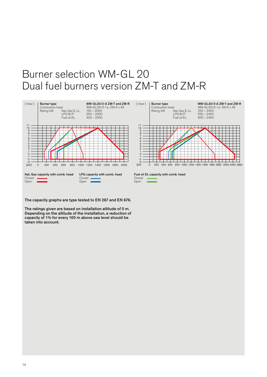# Burner selection WM-GL 20 Dual fuel burners version ZM-T and ZM-R



The capacity graphs are type tested to EN 267 and EN 676.

The ratings given are based on installation altitude of 0 m. Depending on the altitude of the installation, a reduction of capacity of 1% for every 100 m above sea level should be taken into account.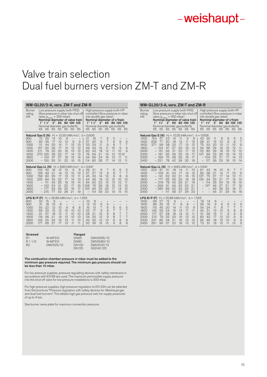# Valve train selection Dual fuel burners version ZM-T and ZM-R

| WM-GL20/2-A, vers. ZM-T and ZM-R                                                                                                       |                                                                  |                                                                                                                                                            |                                              |                                              |                                              |                                             |                                                                            |                                                                                                         |                                               |                                             |                                                                                                                                                                      |                                           |                                           |                                           |
|----------------------------------------------------------------------------------------------------------------------------------------|------------------------------------------------------------------|------------------------------------------------------------------------------------------------------------------------------------------------------------|----------------------------------------------|----------------------------------------------|----------------------------------------------|---------------------------------------------|----------------------------------------------------------------------------|---------------------------------------------------------------------------------------------------------|-----------------------------------------------|---------------------------------------------|----------------------------------------------------------------------------------------------------------------------------------------------------------------------|-------------------------------------------|-------------------------------------------|-------------------------------------------|
| Burner<br>rating<br>kW                                                                                                                 | 65                                                               | Low pressure supply (with FRS)<br>valve, $p_{e,max} = 300$ mbar)<br>Nominal diameter of valve train<br>$1" 1$ $1"$<br>Nominal diameter gas butterfly<br>65 | 2"<br>65                                     |                                              | 65 80 100 125<br>65 65                       | 65                                          | (flow pressure in mbar into shut off<br>65                                 | 65                                                                                                      | $1" 1$ $1"$<br>65                             | 2"<br>65                                    | High pressure supply (with HP<br>controller) (flow pressure in mbar<br>into double gas valve)<br>Nominal diameter of v/train<br>Nominal diameter gas butterfly<br>65 | 65                                        | 65 80 100 125<br>65                       | 65                                        |
| Natural Gas E (N)<br>800<br>900<br>1000<br>1200<br>1400<br>1600<br>1800<br>2000                                                        | 72<br>90<br>111<br>157<br>211<br>272<br>$\overline{\phantom{0}}$ | 29<br>36<br>44<br>60<br>79<br>100<br>124<br>$-150$                                                                                                         | 14<br>17<br>20<br>26<br>32<br>39<br>47<br>55 | 10<br>12<br>14<br>17<br>20<br>23<br>27<br>31 | 8<br>10<br>11<br>14<br>16<br>17<br>19<br>22  | -<br>9<br>10<br>12<br>13<br>14<br>15<br>16  | 9<br>10<br>12<br>12<br>13<br>14<br>15                                      | H <sub>i</sub> = 10.35 kWh/mn <sup>3</sup> ; d = 0.606<br>21<br>27<br>33<br>46<br>60<br>76<br>94<br>114 | 16<br>20<br>94<br>33<br>43<br>54<br>66<br>80  | 7<br>9<br>11<br>15<br>18<br>21<br>24<br>28  | 6<br>7<br>9<br>11<br>12<br>14<br>16<br>17                                                                                                                            | 5<br>6<br>8<br>10<br>11<br>12<br>13<br>14 | 6<br>7<br>9<br>10<br>1010<br>11<br>12     | 6<br>7<br>$\overline{9}$<br>9<br>11<br>11 |
| <b>Natural Gas LL (N)</b> $H_i = 8.83$ kWh/mn <sup>3</sup> ; $d = 0.641$<br>800<br>900<br>1000<br>1200<br>1400<br>1600<br>1800<br>2000 | 102<br>129<br>158<br>225<br>$\overline{\phantom{0}}$             | 40<br>49<br>60<br>84<br>111<br>142<br>177<br>215                                                                                                           | 18<br>21<br>26<br>34<br>43<br>53<br>64<br>77 | 12<br>14<br>17<br>22<br>26<br>31<br>36<br>42 | 10<br>12<br>13<br>17<br>19<br>22<br>25<br>28 | 9<br>10<br>12<br>14<br>16<br>17<br>19<br>21 | 8<br>10<br>11<br>13<br>14<br>16<br>17<br>19                                | 29<br>37<br>45<br>64<br>84<br>108<br>135                                                                | 21<br>27<br>33<br>46<br>60<br>76<br>94<br>114 | 9<br>12<br>14<br>19<br>23<br>28<br>33<br>39 | 7<br>9<br>10<br>13<br>15<br>18<br>20<br>23                                                                                                                           | 6<br>8<br>9<br>12<br>13<br>15<br>17<br>19 | 6<br>7<br>8<br>10<br>12<br>13<br>14<br>15 | 5<br>7<br>8<br>10<br>11<br>12<br>13<br>15 |
| LPG B/P (F)<br>800<br>900<br>1000<br>1200<br>1400<br>1600<br>1800<br>2000                                                              | 33<br>41<br>50<br>69<br>91<br>116<br>145<br>177                  | $H_i =$<br>15<br>18<br>22<br>30<br>37<br>46<br>55<br>66                                                                                                    | 9<br>10<br>12<br>15<br>18<br>21<br>24<br>27  | 8<br>10<br>12<br>13<br>14<br>16<br>17        | -<br>9<br>10<br>11<br>12<br>13<br>13         | 8<br>10<br>10<br>10<br>11<br>11             | 25.89 kWh/mn <sup>3</sup> ; $d = 1.555$<br>8<br>10<br>10<br>10<br>10<br>11 | 10<br>13<br>16<br>22<br>28<br>34<br>42<br>50                                                            | 8<br>10<br>13<br>17<br>21<br>25<br>30<br>36   | 6<br>7<br>9<br>10<br>12<br>13<br>15         | 5<br>6<br>8<br>8<br>9<br>10<br>10                                                                                                                                    | 6<br>7<br>8<br>8<br>8<br>9                | 6<br>7<br>7<br>7<br>8<br>8                | 5<br>7<br>7<br>7<br>8<br>8                |

|                                                                                                                                                                                                                                                                                                                                                                                                                                                                                                                                                                    | WM-GL20/3-A, vers. ZM-T and ZM-R                                                                                                       |                                                                                               |                                              |                                              |                                              |                                                                                                       |                                                  |                                                |                                              |                                              |                                                |                                             |                                            |
|--------------------------------------------------------------------------------------------------------------------------------------------------------------------------------------------------------------------------------------------------------------------------------------------------------------------------------------------------------------------------------------------------------------------------------------------------------------------------------------------------------------------------------------------------------------------|----------------------------------------------------------------------------------------------------------------------------------------|-----------------------------------------------------------------------------------------------|----------------------------------------------|----------------------------------------------|----------------------------------------------|-------------------------------------------------------------------------------------------------------|--------------------------------------------------|------------------------------------------------|----------------------------------------------|----------------------------------------------|------------------------------------------------|---------------------------------------------|--------------------------------------------|
| Low pressure supply (with FRS)<br>High pressure supply (with HP<br><b>Burner</b><br>controller) (flow pressure in mbar<br>(flow pressure in mbar into shut off<br>rating<br>valve, $p_{e,max} = 300$ mbar)<br>kW<br>into double gas valve)<br>Nominal diameter of v/train<br>Nominal diameter of valve train<br>$1" 1\frac{1}{2}$<br>2"<br>$1" 1\frac{1}{2}$<br>2"<br>65<br>80 100 125<br>65<br>80 100 125<br>Nominal diameter gas butterfly<br>Nominal diameter gas butterfly<br>65<br>65<br>65<br>65<br>65<br>65<br>65<br>65<br>65<br>65<br>65<br>65<br>65<br>65 |                                                                                                                                        |                                                                                               |                                              |                                              |                                              |                                                                                                       |                                                  |                                                |                                              |                                              |                                                |                                             |                                            |
| 1200<br>1400<br>1600<br>1800<br>2000<br>2200<br>2300<br>2450                                                                                                                                                                                                                                                                                                                                                                                                                                                                                                       | Natural Gas E (N)<br>154<br>57<br>77<br>208<br>271<br>99<br>194<br>$\qquad \qquad -$<br>151<br>181<br>196<br>$-221$                    | 23<br>30<br>38<br>47<br>56<br>65<br>70<br>78                                                  | 14<br>18<br>23<br>27<br>31<br>36<br>38<br>42 | 11<br>13<br>17<br>20<br>22<br>25<br>26<br>28 | 9<br>11<br>13<br>16<br>17<br>19<br>19<br>20  | H <sub>i</sub> = 10.35 kWh/mn <sup>3</sup> ; d = 0.606<br>8<br>10<br>12<br>14<br>15<br>17<br>17<br>18 | 42<br>58<br>75<br>94<br>115<br>137<br>$-$<br>$=$ | 30<br>41<br>53<br>66<br>80<br>96<br>104<br>117 | 11<br>15<br>20<br>25<br>29<br>33<br>35<br>39 | 8<br>10<br>13<br>16<br>18<br>20<br>21<br>23  | 6<br>9<br>11<br>13<br>15<br>16<br>17<br>18     | 6<br>8<br>10<br>12<br>12<br>14<br>14<br>15  | 5<br>7<br>9<br>11<br>12<br>13<br>13<br>14  |
| 1200<br>1400<br>1600<br>1800<br>2000<br>2200<br>2300<br>2450                                                                                                                                                                                                                                                                                                                                                                                                                                                                                                       | <b>Natural Gas LL (N)</b> $H_i = 8.83$ kWh/mn <sup>3</sup> ; d = 0.641<br>222<br>81<br>$-109$<br>141<br>177<br>216<br>$-259$<br>$-282$ | 31<br>41<br>52<br>65<br>78<br>91<br>99<br>111<br>$\overline{\phantom{0}}$                     | 18<br>24<br>30<br>36<br>42<br>49<br>52<br>58 | 14<br>17<br>21<br>25<br>29<br>32<br>34<br>37 | 11<br>14<br>16<br>19<br>21<br>23<br>25<br>26 | 10<br>12<br>15<br>18<br>19<br>21<br>21<br>23                                                          | 61<br>83<br>107<br>135<br>$-$                    | 43<br>58<br>75<br>94<br>114<br>137             | 16<br>21<br>27<br>33<br>39<br>46<br>49<br>54 | 10<br>14<br>17<br>21<br>24<br>27<br>29<br>31 | 8<br>11<br>14<br>17<br>19<br>21<br>22<br>24    | 7<br>10<br>12<br>14<br>16<br>17<br>18<br>19 | 7<br>9<br>11<br>14<br>15<br>16<br>17<br>18 |
| LPG B/P (F)<br>1200<br>1400<br>1600<br>1800<br>2000<br>2200<br>2300<br>2450                                                                                                                                                                                                                                                                                                                                                                                                                                                                                        | 66<br>27<br>89<br>35<br>115<br>45<br>145<br>56<br>177<br>67<br>212<br>79<br>85<br>231<br>261<br>96                                     | $H_i = 25.89$ kWh/mn <sup>3</sup> ; d = 1.555<br>12<br>16<br>20<br>24<br>28<br>32<br>34<br>37 | 9<br>11<br>14<br>16<br>18<br>20<br>21<br>22  | -<br>9<br>11<br>13<br>14<br>15<br>16<br>16   | 8<br>10<br>11<br>12<br>13<br>13<br>13        | $\overline{\phantom{0}}$<br>9<br>11<br>11<br>12<br>12<br>12                                           | 19<br>26<br>34<br>42<br>51<br>60<br>65<br>73     | 14<br>19<br>24<br>31<br>36<br>43<br>46<br>51   | 6<br>9<br>11<br>13<br>15<br>17<br>18<br>19   | 6<br>8<br>10<br>11<br>12<br>12<br>13         | 6<br>7<br>$\mathcal{G}$<br>9<br>10<br>10<br>11 | 5<br>7<br>8<br>9<br>9<br>9<br>10            | 5<br>7<br>8<br>8<br>9<br>9<br>9            |

| <b>Screwed</b> |           | Flanged      |            |
|----------------|-----------|--------------|------------|
| R <sub>1</sub> | W-MF512   | <b>DN65</b>  | DMV5065/12 |
| R 1 1/9        | W-MF512   | DN80         | DMV5080/12 |
| R <sub>2</sub> | DMV525/12 | <b>DN100</b> | DMV5100/12 |
|                |           | DN195        | VGD40.125  |

## The combustion chamber pressure in mbar must be added to the minimum gas pressure required. The minimum gas pressure should not be less than 15 mbar.

For low pressure supplies, pressure regulating devices with safety membrane in accordance with EN 88 are used. The maximum permissible supply pressure into the shut off valve for low pressure installations is 300 mbar.

For high pressure supplies, high pressure regulators to EN 334 can be selected from the brochure "Pressure regulators with safety devices for Weishaupt gas and dual fuel burners". This details high gas pressure sets for supply pressures of up to 4 bar.

See burner name plate for maximum connection pressure.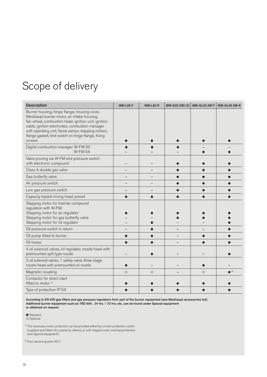# Scope of delivery

| <b>Description</b>                                                                                                                                                                                                                                                                                                           | <b>WM-L20-T</b> | <b>WM-L20-R</b> | <b>WM-G20 ZM/LN</b> | WM-GL20 ZM-T | WM-GL20 ZM-R            |
|------------------------------------------------------------------------------------------------------------------------------------------------------------------------------------------------------------------------------------------------------------------------------------------------------------------------------|-----------------|-----------------|---------------------|--------------|-------------------------|
| Burner housing, hinge flange, housing cover,<br>Weishaupt burner motor, air intake housing,<br>fan wheel, combustion head, ignition unit, ignition<br>cable, ignition electrodes, combustion manager<br>with operating unit, flame sensor, stepping motors,<br>flange gasket, limit switch on hinge flange, fixing<br>screws |                 |                 |                     |              |                         |
| Digital combustion manager W-FM 50<br><b>W-FM 54</b>                                                                                                                                                                                                                                                                         |                 |                 |                     |              |                         |
| Valve proving via W-FM and pressure switch<br>with electronic compound                                                                                                                                                                                                                                                       |                 |                 |                     |              |                         |
| Class A double gas valve                                                                                                                                                                                                                                                                                                     |                 |                 |                     |              |                         |
| Gas butterfly valve                                                                                                                                                                                                                                                                                                          |                 |                 |                     |              |                         |
| Air pressure switch                                                                                                                                                                                                                                                                                                          |                 |                 |                     |              |                         |
| Low gas pressure switch                                                                                                                                                                                                                                                                                                      |                 |                 |                     |              |                         |
| Capacity based mixing head, preset                                                                                                                                                                                                                                                                                           |                 |                 |                     |              |                         |
| Stepping motor for fuel/air compound<br>regulation with W-FM:<br>Stepping motor for air regulator<br>Stepping motor for gas butterfly valve<br>Stepping motor for oil regulator                                                                                                                                              |                 |                 |                     |              |                         |
| Oil pressure switch in return                                                                                                                                                                                                                                                                                                |                 |                 |                     |              |                         |
| Oil pump fitted to burner                                                                                                                                                                                                                                                                                                    |                 |                 |                     |              |                         |
| Oil hoses                                                                                                                                                                                                                                                                                                                    |                 |                 |                     |              |                         |
| 4 oil solenoid valves, oil regulator, nozzle head with<br>premounted spill type nozzle                                                                                                                                                                                                                                       |                 |                 |                     |              |                         |
| 3 oil solenoid valves, 1 safety valve, three stage<br>nozzle head with premounted oil nozzle                                                                                                                                                                                                                                 |                 |                 |                     |              |                         |
| Magnetic coupling                                                                                                                                                                                                                                                                                                            | $\circ$         | $\circ$         |                     | $\circ$      | $\bullet$ <sup>2)</sup> |
| Contactor for direct start<br>fitted to motor <sup>1)</sup>                                                                                                                                                                                                                                                                  |                 |                 |                     |              |                         |
| Type of protection IP 54                                                                                                                                                                                                                                                                                                     |                 |                 |                     |              |                         |

According to EN 676 gas filters and gas pressure regulators form part of the burner equipment (see Weishaupt accessories list). Additional burner equipment such as TRD 604, 24 hrs. / 72 hrs. etc. can be found under Special equipment or obtained on request.

● Standard<br>○ Optional

<sup>1)</sup> The necessary motor protection can be provided either by a motor protection switch (supplied and fitted into a panel by others), or with integral motor overload protection (see Special equipment).

<sup>2)</sup> from second quarter 2011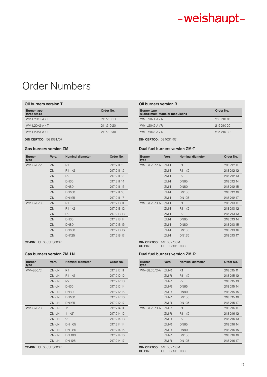# Order Numbers

# Oil burners version T Oil burners version R

| <b>Burner type</b><br>three stage | Order No.  |
|-----------------------------------|------------|
| WM-L20/1-A/T                      | 211 210 10 |
| WM-L20/2-A/T                      | 211 210 20 |
| WM-L20/3-A/T                      | 211 210 30 |

DIN CERTCO: 5G1031/07

| <b>Burner</b><br>type | Vers. | <b>Nominal diameter</b> | Order No.  |
|-----------------------|-------|-------------------------|------------|
| WM-G20/2              | ZM    | R <sub>1</sub>          | 917 911 11 |
|                       | ZM    | R <sub>1</sub> 1/2      | 217 211 12 |
|                       | ZM    | R <sub>2</sub>          | 217 211 13 |
|                       | ZM    | <b>DN65</b>             | 217 211 14 |
|                       | ZM    | <b>DN80</b>             | 217 211 15 |
|                       | ZM    | <b>DN100</b>            | 217 211 16 |
|                       | ZM    | <b>DN125</b>            | 217 211 17 |
| WM-G20/3              | ZM    | R1                      | 217 213 11 |
|                       | ZM    | R <sub>1</sub> 1/2      | 217 213 12 |
|                       | ZM    | R <sub>2</sub>          | 217 213 13 |
|                       | ZM    | <b>DN65</b>             | 217 213 14 |
|                       | ZM    | <b>DN80</b>             | 217 213 15 |
|                       | ZM    | <b>DN100</b>            | 217 213 16 |
|                       | ZM    | <b>DN125</b>            | 217 213 17 |

CE-PIN: CE 0085BS0032

| <b>Burner</b><br>type | Vers. | Nominal diameter   | Order No.  |
|-----------------------|-------|--------------------|------------|
| WM-G20/2              | ZM-LN | R1                 | 217 212 11 |
|                       | ZM-LN | R <sub>1</sub> 1/2 | 217 212 12 |
|                       | ZM-LN | R <sub>2</sub>     | 217 212 13 |
|                       | ZM-LN | <b>DN65</b>        | 217 212 14 |
|                       | ZM-LN | <b>DN80</b>        | 217 212 15 |
|                       | ZM-LN | <b>DN100</b>       | 217 212 16 |
|                       | ZM-LN | <b>DN125</b>       | 217 212 17 |
| WM-G20/3              | ZM-LN | 1"                 | 217 214 11 |
|                       | ZM-LN | 11/2"              | 217 214 12 |
|                       | ZM-LN | "פ                 | 217 214 13 |
|                       | ZM-LN | DN 65              | 917 914 14 |
|                       | ZM-LN | DN 80              | 217 214 15 |
|                       | ZM-LN | <b>DN 100</b>      | 217 214 16 |
|                       | ZM-LN | <b>DN 125</b>      | 217 214 17 |

CE-PIN: CE 0085BS0032

| Burner type<br>sliding multi-stage or modulating | Order No.  |
|--------------------------------------------------|------------|
| WM-L20/1-A/R                                     | 215 210 10 |
| WM-L20/2-A/R                                     | 215 210 20 |
| WM-L20/3-A/R                                     | 215 210 30 |
|                                                  |            |

DIN CERTCO: 5G1031/07

# Gas burners version ZM de Casaca burners version ZM-T

| <b>Burner</b><br>type | Vers. | Nominal diameter   | Order No.  |
|-----------------------|-------|--------------------|------------|
| WM-GL20/2-A           | ZM-T  | R1                 | 218 212 11 |
|                       | ZM-T  | R <sub>1</sub> 1/2 | 218 212 12 |
|                       | ZM-T  | R <sub>2</sub>     | 218 212 13 |
|                       | ZM-T  | <b>DN65</b>        | 218 212 14 |
|                       | ZM-T  | <b>DN80</b>        | 218 212 15 |
|                       | ZM-T  | <b>DN100</b>       | 218 212 16 |
|                       | ZM-T  | DN125              | 218 212 17 |
| WM-GL20/3-A           | ZM-T  | R1                 | 218 213 11 |
|                       | ZM-T  | R <sub>1</sub> 1/2 | 218 213 12 |
|                       | ZM-T  | R <sub>2</sub>     | 218 213 13 |
|                       | ZM-T  | <b>DN65</b>        | 218 213 14 |
|                       | ZM-T  | <b>DN80</b>        | 218 213 15 |
|                       | ZM-T  | <b>DN100</b>       | 218 213 16 |
|                       | ZM-T  | <b>DN125</b>       | 218 213 17 |

DIN CERTCO: 5G1032/08M CE-PIN: CE - 0085BT0133

## Gas burners version ZM-LN Dual fuel burners version ZM-R

| <b>Burner</b><br>type | Vers.  | Nominal diameter   | Order No.  |
|-----------------------|--------|--------------------|------------|
| <b>WM-GL20/2-A</b>    | $ZM-R$ | R1                 | 218 215 11 |
|                       | $ZM-R$ | R <sub>1</sub> 1/2 | 218 215 12 |
|                       | $ZM-R$ | R2                 | 218 215 13 |
|                       | $ZM-R$ | <b>DN65</b>        | 218 215 14 |
|                       | $ZM-R$ | <b>DN80</b>        | 218 215 15 |
|                       | ZM-R   | <b>DN100</b>       | 218 215 16 |
|                       | $ZM-R$ | <b>DN125</b>       | 218 215 17 |
| <b>WM-GL20/3-A</b>    | $ZM-R$ | R <sub>1</sub>     | 218 216 11 |
|                       | ZM-R   | R <sub>1</sub> 1/2 | 218 216 12 |
|                       | $ZM-R$ | R2                 | 218 216 13 |
|                       | $ZM-R$ | <b>DN65</b>        | 218 216 14 |
|                       | $ZM-R$ | <b>DN80</b>        | 218 216 15 |
|                       | $ZM-R$ | <b>DN100</b>       | 218 216 16 |
|                       | ZM-R   | DN125              | 218 216 17 |

**DIN CERTCO:** 5G1032/08M<br>**CE-PIN:** CE-0085BT0

CE - 0085BT0133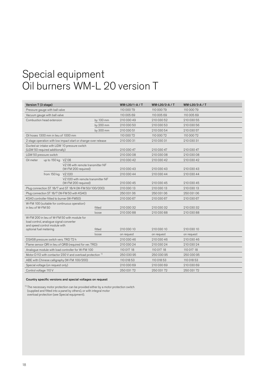# Special equipment Oil burners WM-L 20 version T

| Version T (3 stage)                                                   |                                                                          |                                                                |            | WM-L20/1-A / T | WM-L20/2-A / T | WM-L20/3-A / T |
|-----------------------------------------------------------------------|--------------------------------------------------------------------------|----------------------------------------------------------------|------------|----------------|----------------|----------------|
| Pressure gauge with ball valve                                        |                                                                          |                                                                |            | 110 000 79     | 110 000 79     | 110 000 79     |
| Vacuum gauge with ball valve                                          |                                                                          |                                                                |            | 110 005 69     | 110 005 69     | 110 005 69     |
|                                                                       | Combustion head extension                                                |                                                                | by 100 mm  | 210 030 49     | 210 030 52     | 210 030 55     |
|                                                                       |                                                                          |                                                                | by 200 mm  | 210 030 50     | 210 030 53     | 210 030 56     |
|                                                                       |                                                                          |                                                                | by 300 mm  | 210 030 51     | 210 030 54     | 210 030 57     |
|                                                                       | Oil hoses 1300 mm in lieu of 1000 mm                                     |                                                                |            | 110 000 72     | 110 000 72     | 110 000 72     |
|                                                                       |                                                                          | 2 stage operation with low impact start or change-over release |            | 210 030 31     | 210 030 31     | 210 030 31     |
|                                                                       | (LGW 50 required additionally)                                           | Ducted air intake with LGW 10 pressure switch                  |            | 210 030 47     | 210 030 47     | 210 030 47     |
| LGW 50 pressure switch                                                |                                                                          |                                                                |            | 210 030 08     | 210 030 08     | 210 030 08     |
| Oil meter                                                             | up to 150 kg VZ 08                                                       |                                                                |            | 210 030 42     | 210 030 42     | 210 030 42     |
|                                                                       |                                                                          | VZ 08 with remote transmitter NF<br>(W-FM 200 required)        |            | 210 030 43     | 210 030 43     | 210 030 43     |
|                                                                       | from 150 kg                                                              | VZ 020                                                         |            | 210 030 44     | 210 030 44     | 210 030 44     |
|                                                                       |                                                                          | VZ 020 with remote transmitter NF<br>(W-FM 200 required)       |            | 210 030 45     | 210 030 45     | 210 030 45     |
|                                                                       |                                                                          | Plug connection ST 18/7 and ST 18/4 (W-FM 50/100/200)          |            | 210 030 13     | 210 030 13     | 210 030 13     |
|                                                                       |                                                                          | Plug connection ST 18/7 (W-FM 50 with KS40)                    |            | 250 031 06     | 250 031 06     | 250 031 06     |
|                                                                       |                                                                          | KS40 controller fitted to burner (W-FM50)                      |            | 210 030 67     | 210 030 67     | 210 030 67     |
|                                                                       |                                                                          | W-FM 100 (suitable for continuous operation)                   |            |                |                |                |
| in lieu of W-FM 50                                                    |                                                                          |                                                                | fitted     | 210 030 32     | 210 030 32     | 210 030 32     |
|                                                                       |                                                                          |                                                                | loose      | 210 030 88     | 210 030 88     | 210 030 88     |
|                                                                       | load control, analogue signal converter<br>and speed control module with | W-FM 200 in lieu of W-FM 50 with module for                    |            |                |                |                |
| optional fuel metering                                                |                                                                          |                                                                | fitted     | 210 030 10     | 210 030 10     | 210 030 10     |
|                                                                       |                                                                          |                                                                | loose      | on request     | on request     | on request     |
| DSA58 pressure switch vers. TRD 72 h                                  |                                                                          |                                                                | 210 030 46 | 210 030 46     | 210 030 46     |                |
| Flame sensor QRI in lieu of QRB (required for ver. TRD)               |                                                                          |                                                                | 210 030 24 | 210 030 24     | 210 030 24     |                |
| Analogue module with load controller for W-FM 100                     |                                                                          |                                                                |            | 110 017 18     | 110 017 18     | 110 017 18     |
| Motor D112 with contactor 230 V and overload protection <sup>1)</sup> |                                                                          |                                                                |            | 250 030 95     | 250 030 95     | 250 030 95     |
|                                                                       |                                                                          | ABE with Chinese calligraphy (W-FM 100/200)                    |            | 110 018 53     | 110 018 53     | 110 018 53     |
|                                                                       | Special voltage (on request only)                                        |                                                                |            | 210 030 69     | 210 030 69     | 210 030 69     |
| Control voltage 110 V                                                 |                                                                          |                                                                |            | 250 031 72     | 250 031 72     | 250 031 72     |

## Country specific versions and special voltages on request

<sup>1)</sup> The necessary motor protection can be provided either by a motor protection switch (supplied and fitted into a panel by others), or with integral motor overload protection (see Special equipment).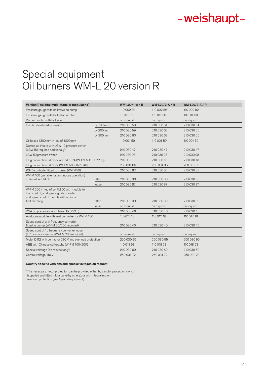# Special equipment Oil burners WM-L 20 version R

| Version R (sliding multi-stage or modulating)                                                                                                     |           | WM-L20/1-A / R | WM-L20/2-A / R | WM-L20/3-A / R |
|---------------------------------------------------------------------------------------------------------------------------------------------------|-----------|----------------|----------------|----------------|
| Pressure gauge with ball valve on pump                                                                                                            |           | 110 002 82     | 110 002 82     | 110 002 82     |
| Pressure gauge with ball valve in return                                                                                                          |           | 110 011 50     | 110 011 50     | 110 011 50     |
| Vacuum meter with ball valve                                                                                                                      |           | on request     | on request     | on request     |
| Combustion head extension                                                                                                                         | by 100 mm | 210 030 58     | 210 030 61     | 210 030 64     |
|                                                                                                                                                   | by 200 mm | 210 030 59     | 210 030 62     | 210 030 65     |
|                                                                                                                                                   | by 300 mm | 210 030 60     | 210 030 63     | 210 030 66     |
| Oil hoses 1300 mm in lieu of 1000 mm                                                                                                              |           | 110 001 59     | 110 001 59     | 110 001 59     |
| Ducted air intake with LGW 10 pressure switch<br>(LGW 50 required additionally)                                                                   |           | 210 030 47     | 210 030 47     | 210 030 47     |
| LGW 50 pressure switch                                                                                                                            |           | 210 030 08     | 210 030 08     | 210 030 08     |
| Plug connection ST 18/7 and ST 18/4 (W-FM 50/100/200)                                                                                             |           | 210 030 13     | 210 030 13     | 210 030 13     |
| Plug connection ST 18/7 (W-FM 50 with KS40)                                                                                                       |           | 250 031 06     | 250 031 06     | 250 031 06     |
| KS40 controller fitted to burner (W-FM50)                                                                                                         |           | 210 030 82     | 210 030 82     | 210 030 82     |
| W-FM 100 (suitable for continuous operation)<br>in lieu of W-FM 50                                                                                | fitted    | 210 030 38     | 210 030 38     | 210 030 38     |
|                                                                                                                                                   | loose     | 210 030 87     | 210 030 87     | 210 030 87     |
| W-FM 200 in lieu of W-FM 50 with module for<br>load control, analogue signal converter<br>and speed control module with optional<br>fuel metering | fitted    | 210 030 39     | 210 030 39     | 210 030 39     |
|                                                                                                                                                   | loose     | on request     | on request     | on request     |
| DSA 58 pressure switch (vers. TRD 72 h)                                                                                                           |           | 210 030 46     | 210 030 46     | 210 030 46     |
| Analogue module with load controller for W-FM 100                                                                                                 |           | 110 017 18     | 110 017 18     | 110 017 18     |
| Speed control with frequency converter<br>fitted to burner (W-FM 50/200 required)                                                                 |           | 210 030 40     | 210 030 40     | 210 030 40     |
| Speed control fro frequency converter loose<br>(FC from accessories) (W-FM 200 required)                                                          |           | on request     | on request     | on request     |
| Motor D112 with contactor 230 V and overload protection <sup>1)</sup>                                                                             |           | 250 030 95     | 250 030 95     | 250 030 95     |
| ABE with Chinese calligraphy (W-FM 100/200)                                                                                                       |           | 110 018 53     | 110 018 53     | 110 018 53     |
| Special volatage (on request only)                                                                                                                |           | 210 030 69     | 210 030 69     | 210 030 69     |
| Control voltage 110 V                                                                                                                             |           | 250 031 72     | 250 031 72     | 250 031 72     |

# Country specific versions and special voltages on request

<sup>1)</sup> The necessary motor protection can be provided either by a motor protection switch (supplied and fitted into a panel by others), or with integral motor overload protection (see Special equipment).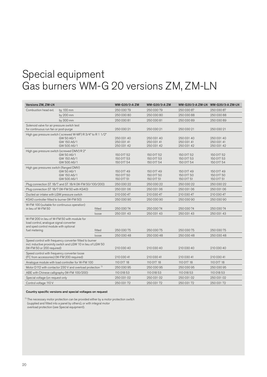# Special equipment Gas burners WM-G 20 versions ZM, ZM-LN

| Versions ZM, ZM-LN                                                                                                                                    |                                                                       |        | <b>WM-G20/2-A ZM</b> | <b>WM-G20/3-A ZM</b> |            | WM-G20/2-A ZM-LN WM-G20/3-A ZM-LN |
|-------------------------------------------------------------------------------------------------------------------------------------------------------|-----------------------------------------------------------------------|--------|----------------------|----------------------|------------|-----------------------------------|
| Combustion head ext.                                                                                                                                  | by 100 mm                                                             |        | 250 030 79           | 250 030 79           | 250 030 87 | 250 030 87                        |
|                                                                                                                                                       | by 200 mm                                                             |        | 250 030 80           | 250 030 80           | 250 030 88 | 250 030 88                        |
|                                                                                                                                                       | by 300 mm                                                             |        | 250 030 81           | 250 030 81           | 250 030 89 | 250 030 89                        |
| Solenoid valve for air pressure switch test                                                                                                           |                                                                       |        |                      |                      |            |                                   |
| for continuous run fan or post-purge                                                                                                                  |                                                                       |        | 250 030 21           | 250 030 21           | 250 030 21 | 250 030 21                        |
|                                                                                                                                                       | High gas pressure switch (screwed W-MF) R 3/4" to R 1 1/2"            |        |                      |                      |            |                                   |
|                                                                                                                                                       | GW 50 A6/1                                                            |        | 250 031 40           | 250 031 40           | 250 031 40 | 250 031 40                        |
|                                                                                                                                                       | GW 150 A6/1                                                           |        | 250 031 41           | 250 031 41           | 250 031 41 | 250 031 41                        |
|                                                                                                                                                       | GW 500 A6/1                                                           |        | 250 031 42           | 250 031 42           | 250 031 42 | 250 031 42                        |
| High gas pressure switch (screwed DMV) R 2"                                                                                                           | GW 50 A6/1                                                            |        | 150 017 52           | 150 017 52           | 150 017 52 | 150 017 52                        |
|                                                                                                                                                       | GW 150 A6/1                                                           |        | 150 017 53           | 150 017 53           | 150 017 53 | 150 017 53                        |
|                                                                                                                                                       | GW 500 A6/1                                                           |        | 150 017 54           | 150 017 54           | 150 017 54 | 150 017 54                        |
| High gas pressures switch (flanged DMV)                                                                                                               |                                                                       |        |                      |                      |            |                                   |
|                                                                                                                                                       | GW 50 A6/1                                                            |        | 150 017 49           | 150 017 49           | 150 017 49 | 150 017 49                        |
|                                                                                                                                                       | GW 150 A6/1                                                           |        | 150 017 50           | 150 017 50           | 150 017 50 | 150 017 50                        |
|                                                                                                                                                       | GW 500 A6/1                                                           |        | 150 017 51           | 150 017 51           | 150 017 51 | 150 017 51                        |
|                                                                                                                                                       | Plug connection ST 18/7 and ST 18/4 (W-FM 50/100/200)                 |        | 250 030 22           | 250 030 22           | 250 030 22 | 250 030 22                        |
|                                                                                                                                                       | Plug connection ST 18/7 (W-FM 50 with KS40)                           |        | 250 031 06           | 250 031 06           | 250 031 06 | 250 031 06                        |
| Ducted air intake with LGW pressure switch                                                                                                            |                                                                       |        | 210 030 47           | 210 030 47           | 210 030 47 | 210 030 47                        |
| KS40 controller fitted to burner (W-FM 50)                                                                                                            |                                                                       |        | 250 030 90           | 250 030 90           | 250 030 90 | 250 030 90                        |
| W-FM 100 (suitable for continuous operation)                                                                                                          |                                                                       |        |                      |                      |            |                                   |
| in lieu of W-FM 50                                                                                                                                    |                                                                       | fitted | 250 030 74           | 250 030 74           | 250 030 74 | 250 030 74                        |
|                                                                                                                                                       |                                                                       | loose  | 250 031 43           | 250 031 43           | 250 031 43 | 250 031 43                        |
| W-FM 200 in lieu of W-FM 50 with module for<br>load control, analogue signal converter<br>and sped control module with optional                       |                                                                       |        |                      |                      |            |                                   |
| fuel metering                                                                                                                                         |                                                                       | fitted | 250 030 75           | 250 030 75           | 250 030 75 | 250 030 75                        |
|                                                                                                                                                       |                                                                       | loose  | 250 030 48           | 250 030 48           | 250 030 48 | 250 030 48                        |
| Speed control with frequency converter fitted to burner<br>incl. inductive proximity switch and LGW 10 in lieu of LGW 50<br>(W-FM 50 or 200 required) |                                                                       |        | 210 030 40           | 210 030 40           | 210 030 40 | 210 030 40                        |
| Speed control with frequency converter loose<br>(FC from accessories) (W-FM 200 required)                                                             |                                                                       |        | 210 030 41           | 210 030 41           | 210 030 41 | 210 030 41                        |
| Analogue module with load controller for W-FM 100                                                                                                     |                                                                       |        | 110 017 18           | 110 017 18           | 110 017 18 | 110 017 18                        |
|                                                                                                                                                       | Motor D112 with contactor 230 V and overload protection <sup>1)</sup> |        | 250 030 95           | 250 030 95           | 250 030 95 | 25003095                          |
|                                                                                                                                                       | ABE with Chinese calligraphy (W-FM 100/200)                           |        | 110 018 53           | 110 018 53           | 110 018 53 | 110 018 53                        |
| Special voltage (on request only                                                                                                                      |                                                                       |        | 250 031 02           | 250 031 02           | 250 031 02 | 250 031 02                        |
| Control voltage 110 V                                                                                                                                 |                                                                       |        | 250 031 72           | 250 031 72           | 250 031 72 | 250 031 72                        |
|                                                                                                                                                       |                                                                       |        |                      |                      |            |                                   |

## Country specific versions and special voltages on request

<sup>1)</sup> The necessary motor protection can be provided either by a motor protection switch (supplied and fitted into a panel by others), or with integral motor overload protection (see Special equipment).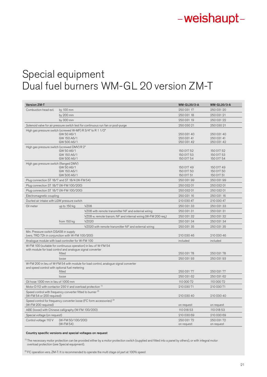# Special equipment Dual fuel burners WM-GL 20 version ZM-T

| <b>Version ZM-T</b>                                                                      |                            |                                                                                     | <b>WM-GL20/2-A</b>       | <b>WM-GL20/3-A</b>       |
|------------------------------------------------------------------------------------------|----------------------------|-------------------------------------------------------------------------------------|--------------------------|--------------------------|
| Combustion head ext.                                                                     | by 100 mm                  |                                                                                     | 250 031 17               | 250 031 20               |
|                                                                                          | by 200 mm                  |                                                                                     | 250 031 18               | 250 031 21               |
|                                                                                          | by 300 mm                  |                                                                                     | 250 031 19               | 250 031 22               |
|                                                                                          |                            | Solenoid valve for air pressure switch test for continuous run fan or post-purge    | 250 030 21               | 250 030 21               |
| High gas pressure switch (screwed W-MF) R 3/4" to R 1 1/2"                               |                            |                                                                                     |                          |                          |
|                                                                                          | GW 50 A6/1                 |                                                                                     | 250 031 40               | 250 031 40               |
|                                                                                          | GW 150 A6/1<br>GW 500 A6/1 |                                                                                     | 250 031 41<br>250 031 42 | 250 031 41<br>250 031 42 |
| High gas pressure switch (screwed DMV) R 2"                                              |                            |                                                                                     |                          |                          |
|                                                                                          | GW 50 A6/1                 |                                                                                     | 150 017 52               | 150 017 52               |
|                                                                                          | GW 150 A6/1                |                                                                                     | 150 017 53               | 150 017 53               |
|                                                                                          | GW 500 A6/1                |                                                                                     | 150 017 54               | 150 017 54               |
| High gas pressure switch (flanged DMV)                                                   |                            |                                                                                     |                          |                          |
|                                                                                          | GW 50 A6/1                 |                                                                                     | 150 017 49               | 150 017 49               |
|                                                                                          | GW 150 A6/1<br>GW 500 A6/1 |                                                                                     | 150 017 50<br>150 017 51 | 150 017 50<br>150 017 51 |
| Plug connection ST 18/7 and ST 18/4 (W-FM 54)                                            |                            |                                                                                     | 250 031 99               | 250 031 99               |
| Plug connection ST 18/7 (W-FM 100/200)                                                   |                            |                                                                                     | 250 032 01               | 250 032 01               |
| Plug connection ST 18/7 (W-FM 100/200)                                                   |                            |                                                                                     | 250 032 01               | 250 032 01               |
| Electromagnetic coupling                                                                 |                            |                                                                                     | 250 031 16               | 250 031 16               |
| Ducted air intake with LGW pressure switch                                               |                            |                                                                                     | 210 030 47               | 210 030 47               |
| Oil meter                                                                                | up to 150 kg               | <b>VZ08</b>                                                                         | 250 031 33               | 250 031 33               |
|                                                                                          |                            | VZ08 with remote transmitter NF and external wiring                                 | 250 031 31               | 250 031 31               |
|                                                                                          |                            | VZ08 w. remote transm. NF and internal wiring (W-FM 200 req.)                       | 250 031 32               | 250 031 32               |
|                                                                                          | from 150 kg                | VZ020                                                                               | 250 031 34               | 250 031 34               |
|                                                                                          |                            | VZ020 with remote transmitter NF and external wiring                                | 250 031 35               | 250 031 35               |
| Min. Pressure switch DSA58 in supply<br>(vers. TRD 72h in conjunction with W-FM 100/200) |                            |                                                                                     | 210 030 46               | 210 030 46               |
| Analogue module with load controller for W-FM 100                                        |                            |                                                                                     | included                 | included                 |
|                                                                                          |                            | W-FM 100 (suitable for continuous operation) in lieu of W-FM 54                     |                          |                          |
| with module for load control and analogue signal converter                               |                            |                                                                                     |                          |                          |
|                                                                                          | fitted                     |                                                                                     | 250 031 78               | 250 031 78               |
|                                                                                          | loose                      |                                                                                     | 250 031 93               | 250 031 93               |
|                                                                                          |                            | W-FM 200 in lieu of W-FM 54 with module for load control, analogue signal converter |                          |                          |
| and speed control with optional fuel metering                                            | fitted                     |                                                                                     | 250 031 77               | 250 031 77               |
|                                                                                          | loose                      |                                                                                     | 250 031 62               | 250 031 62               |
| Oil hose 1300 mm in lieu of 1000 mm                                                      |                            |                                                                                     | 110 000 72               | 110 000 72               |
| Motor D112 with contactor 230 V and overload protection <sup>1)</sup>                    |                            |                                                                                     | 210 030 71               | 210 030 71               |
| Speed control with frequency converter fitted to burner <sup>2)</sup>                    |                            |                                                                                     |                          |                          |
| (W-FM 54 or 200 required)                                                                |                            |                                                                                     | 210 030 40               | 210 030 40               |
| (W-FM 200 required)                                                                      |                            | Speed control for frequency converter loose (FC form accessories) <sup>2)</sup>     | on request               | on request               |
| ABE (loose) with Chinese calligraphy (W-FM 100/200)                                      |                            |                                                                                     | 110 018 53               | 110 018 53               |
| Special voltage (on request)                                                             |                            |                                                                                     | 210 030 69               | 210 030 69               |
| Control voltage 110 V                                                                    | (W-FM 50/100/200)          |                                                                                     | 250 031 72               | 250 031 72               |
|                                                                                          |                            |                                                                                     |                          |                          |

Country specific versions and special voltages on request

<sup>1)</sup> The necessary motor protection can be provided either by a motor protection switch (supplied and fitted into a panel by others), or with integral motor overload protection (see Special equipment).

 $2)$  FC operation vers. ZM-T: It is recommended to operate the multi stage oil part at 100% speed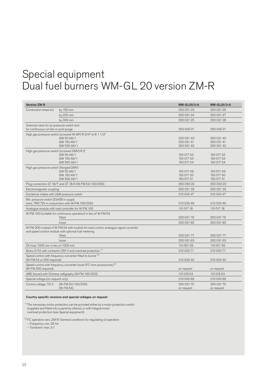# Special equipment Dual fuel burners WM-GL 20 version ZM-R

| by 100 mm<br>250 031 23<br>250 031 26<br>Combustion head ext.<br>by 200 mm<br>250 031 24<br>250 031 27<br>by 300 mm<br>250 031 25<br>250 031 28<br>Solenoid valve for air pressure switch test<br>for continuous run fan or post-purge<br>250 030 21<br>250 030 21<br>High gas pressure switch (screwed W-MF) R 3/4" to R 1 1/2"<br>GW 50 A6/1<br>250 031 40<br>250 031 40<br>GW 150 A6/1<br>250 031 41<br>250 031 41<br>GW 500 A6/1<br>250 031 42<br>250 031 42<br>High gas pressure switch (screwed DMV) R 2"<br>GW 50 A6/1<br>150 017 52<br>150 017 52<br>GW 150 A6/1<br>150 017 53<br>150 017 53<br>GW 500 A6/1<br>150 017 54<br>150 017 54<br>High gas pressure switch (flanged DMV)<br>GW 50 A6/1<br>150 017 49<br>150 017 49<br>GW 150 A6/1<br>150 017 50<br>150 017 50<br>GW 500 A6/1<br>150 017 51<br>150 017 51<br>Plug connection ST 18/7 and ST 18/4 (W-FM 54/100/200)<br>250 030 22<br>250 030 22<br>250 031 29<br>250 031 29<br>Electromagnetic coupling<br>210 030 47<br>Ducted air intake with LGW pressure switch<br>210 030 47<br>Min. pressure switch DSA58 in supply<br>(vers. TRD 72h in conjunction with W-FM 100/200)<br>210 030 46<br>210 030 46<br>Analogue module with load controller for W-FM 100<br>110 017 18<br>110 017 18<br>W-FM 100 (suitable for continuous operation) in lieu of W-FM 54<br>250 031 76<br>250 031 76<br>fitted<br>250 031 82<br>250 031 82<br>loose<br>W-FM 200 instead of W-FM 54 with module for load control, analogue signal converter<br>and speed control module with optional fuel metering<br>250 031 77<br>250 031 77<br>fitted<br>250 031 63<br>250 031 63<br>loose<br>Oil hose 1300 mm in lieu of 1000 mm<br>110 001 59<br>110 001 59<br>Motor D112 with contactor 230 V and overload protection <sup>1)</sup><br>210 030 71<br>210 030 71<br>Speed control with frequency converter fitted to burner <sup>2)</sup><br>(W-FM 54 or 200 required)<br>210 030 40<br>210 030 40<br>Speed control with frequency converter loose (FC from accessories) <sup>2)</sup><br>(W-FM 200 required)<br>on request<br>on request<br>ABE (loose) with Chinese calligraphy (W-FM 100/200)<br>110 018 53<br>110 018 53<br>Special voltage (on request only)<br>210 030 69<br>210 030 69<br>Control voltage 110 V<br>(W-FM 50/100/200)<br>250 031 72<br>250 031 72<br>(W-FM 54)<br>on request<br>on request | <b>Version ZM-R</b> |  | <b>WM-GL20/2-A</b> | <b>WM-GL20/3-A</b> |
|-----------------------------------------------------------------------------------------------------------------------------------------------------------------------------------------------------------------------------------------------------------------------------------------------------------------------------------------------------------------------------------------------------------------------------------------------------------------------------------------------------------------------------------------------------------------------------------------------------------------------------------------------------------------------------------------------------------------------------------------------------------------------------------------------------------------------------------------------------------------------------------------------------------------------------------------------------------------------------------------------------------------------------------------------------------------------------------------------------------------------------------------------------------------------------------------------------------------------------------------------------------------------------------------------------------------------------------------------------------------------------------------------------------------------------------------------------------------------------------------------------------------------------------------------------------------------------------------------------------------------------------------------------------------------------------------------------------------------------------------------------------------------------------------------------------------------------------------------------------------------------------------------------------------------------------------------------------------------------------------------------------------------------------------------------------------------------------------------------------------------------------------------------------------------------------------------------------------------------------------------------------------------------------------------------------------------------------------------------------|---------------------|--|--------------------|--------------------|
|                                                                                                                                                                                                                                                                                                                                                                                                                                                                                                                                                                                                                                                                                                                                                                                                                                                                                                                                                                                                                                                                                                                                                                                                                                                                                                                                                                                                                                                                                                                                                                                                                                                                                                                                                                                                                                                                                                                                                                                                                                                                                                                                                                                                                                                                                                                                                           |                     |  |                    |                    |
|                                                                                                                                                                                                                                                                                                                                                                                                                                                                                                                                                                                                                                                                                                                                                                                                                                                                                                                                                                                                                                                                                                                                                                                                                                                                                                                                                                                                                                                                                                                                                                                                                                                                                                                                                                                                                                                                                                                                                                                                                                                                                                                                                                                                                                                                                                                                                           |                     |  |                    |                    |
|                                                                                                                                                                                                                                                                                                                                                                                                                                                                                                                                                                                                                                                                                                                                                                                                                                                                                                                                                                                                                                                                                                                                                                                                                                                                                                                                                                                                                                                                                                                                                                                                                                                                                                                                                                                                                                                                                                                                                                                                                                                                                                                                                                                                                                                                                                                                                           |                     |  |                    |                    |
|                                                                                                                                                                                                                                                                                                                                                                                                                                                                                                                                                                                                                                                                                                                                                                                                                                                                                                                                                                                                                                                                                                                                                                                                                                                                                                                                                                                                                                                                                                                                                                                                                                                                                                                                                                                                                                                                                                                                                                                                                                                                                                                                                                                                                                                                                                                                                           |                     |  |                    |                    |
|                                                                                                                                                                                                                                                                                                                                                                                                                                                                                                                                                                                                                                                                                                                                                                                                                                                                                                                                                                                                                                                                                                                                                                                                                                                                                                                                                                                                                                                                                                                                                                                                                                                                                                                                                                                                                                                                                                                                                                                                                                                                                                                                                                                                                                                                                                                                                           |                     |  |                    |                    |
|                                                                                                                                                                                                                                                                                                                                                                                                                                                                                                                                                                                                                                                                                                                                                                                                                                                                                                                                                                                                                                                                                                                                                                                                                                                                                                                                                                                                                                                                                                                                                                                                                                                                                                                                                                                                                                                                                                                                                                                                                                                                                                                                                                                                                                                                                                                                                           |                     |  |                    |                    |
|                                                                                                                                                                                                                                                                                                                                                                                                                                                                                                                                                                                                                                                                                                                                                                                                                                                                                                                                                                                                                                                                                                                                                                                                                                                                                                                                                                                                                                                                                                                                                                                                                                                                                                                                                                                                                                                                                                                                                                                                                                                                                                                                                                                                                                                                                                                                                           |                     |  |                    |                    |
|                                                                                                                                                                                                                                                                                                                                                                                                                                                                                                                                                                                                                                                                                                                                                                                                                                                                                                                                                                                                                                                                                                                                                                                                                                                                                                                                                                                                                                                                                                                                                                                                                                                                                                                                                                                                                                                                                                                                                                                                                                                                                                                                                                                                                                                                                                                                                           |                     |  |                    |                    |
|                                                                                                                                                                                                                                                                                                                                                                                                                                                                                                                                                                                                                                                                                                                                                                                                                                                                                                                                                                                                                                                                                                                                                                                                                                                                                                                                                                                                                                                                                                                                                                                                                                                                                                                                                                                                                                                                                                                                                                                                                                                                                                                                                                                                                                                                                                                                                           |                     |  |                    |                    |
|                                                                                                                                                                                                                                                                                                                                                                                                                                                                                                                                                                                                                                                                                                                                                                                                                                                                                                                                                                                                                                                                                                                                                                                                                                                                                                                                                                                                                                                                                                                                                                                                                                                                                                                                                                                                                                                                                                                                                                                                                                                                                                                                                                                                                                                                                                                                                           |                     |  |                    |                    |
|                                                                                                                                                                                                                                                                                                                                                                                                                                                                                                                                                                                                                                                                                                                                                                                                                                                                                                                                                                                                                                                                                                                                                                                                                                                                                                                                                                                                                                                                                                                                                                                                                                                                                                                                                                                                                                                                                                                                                                                                                                                                                                                                                                                                                                                                                                                                                           |                     |  |                    |                    |
|                                                                                                                                                                                                                                                                                                                                                                                                                                                                                                                                                                                                                                                                                                                                                                                                                                                                                                                                                                                                                                                                                                                                                                                                                                                                                                                                                                                                                                                                                                                                                                                                                                                                                                                                                                                                                                                                                                                                                                                                                                                                                                                                                                                                                                                                                                                                                           |                     |  |                    |                    |
|                                                                                                                                                                                                                                                                                                                                                                                                                                                                                                                                                                                                                                                                                                                                                                                                                                                                                                                                                                                                                                                                                                                                                                                                                                                                                                                                                                                                                                                                                                                                                                                                                                                                                                                                                                                                                                                                                                                                                                                                                                                                                                                                                                                                                                                                                                                                                           |                     |  |                    |                    |
|                                                                                                                                                                                                                                                                                                                                                                                                                                                                                                                                                                                                                                                                                                                                                                                                                                                                                                                                                                                                                                                                                                                                                                                                                                                                                                                                                                                                                                                                                                                                                                                                                                                                                                                                                                                                                                                                                                                                                                                                                                                                                                                                                                                                                                                                                                                                                           |                     |  |                    |                    |
|                                                                                                                                                                                                                                                                                                                                                                                                                                                                                                                                                                                                                                                                                                                                                                                                                                                                                                                                                                                                                                                                                                                                                                                                                                                                                                                                                                                                                                                                                                                                                                                                                                                                                                                                                                                                                                                                                                                                                                                                                                                                                                                                                                                                                                                                                                                                                           |                     |  |                    |                    |
|                                                                                                                                                                                                                                                                                                                                                                                                                                                                                                                                                                                                                                                                                                                                                                                                                                                                                                                                                                                                                                                                                                                                                                                                                                                                                                                                                                                                                                                                                                                                                                                                                                                                                                                                                                                                                                                                                                                                                                                                                                                                                                                                                                                                                                                                                                                                                           |                     |  |                    |                    |
|                                                                                                                                                                                                                                                                                                                                                                                                                                                                                                                                                                                                                                                                                                                                                                                                                                                                                                                                                                                                                                                                                                                                                                                                                                                                                                                                                                                                                                                                                                                                                                                                                                                                                                                                                                                                                                                                                                                                                                                                                                                                                                                                                                                                                                                                                                                                                           |                     |  |                    |                    |
|                                                                                                                                                                                                                                                                                                                                                                                                                                                                                                                                                                                                                                                                                                                                                                                                                                                                                                                                                                                                                                                                                                                                                                                                                                                                                                                                                                                                                                                                                                                                                                                                                                                                                                                                                                                                                                                                                                                                                                                                                                                                                                                                                                                                                                                                                                                                                           |                     |  |                    |                    |
|                                                                                                                                                                                                                                                                                                                                                                                                                                                                                                                                                                                                                                                                                                                                                                                                                                                                                                                                                                                                                                                                                                                                                                                                                                                                                                                                                                                                                                                                                                                                                                                                                                                                                                                                                                                                                                                                                                                                                                                                                                                                                                                                                                                                                                                                                                                                                           |                     |  |                    |                    |
|                                                                                                                                                                                                                                                                                                                                                                                                                                                                                                                                                                                                                                                                                                                                                                                                                                                                                                                                                                                                                                                                                                                                                                                                                                                                                                                                                                                                                                                                                                                                                                                                                                                                                                                                                                                                                                                                                                                                                                                                                                                                                                                                                                                                                                                                                                                                                           |                     |  |                    |                    |
|                                                                                                                                                                                                                                                                                                                                                                                                                                                                                                                                                                                                                                                                                                                                                                                                                                                                                                                                                                                                                                                                                                                                                                                                                                                                                                                                                                                                                                                                                                                                                                                                                                                                                                                                                                                                                                                                                                                                                                                                                                                                                                                                                                                                                                                                                                                                                           |                     |  |                    |                    |
|                                                                                                                                                                                                                                                                                                                                                                                                                                                                                                                                                                                                                                                                                                                                                                                                                                                                                                                                                                                                                                                                                                                                                                                                                                                                                                                                                                                                                                                                                                                                                                                                                                                                                                                                                                                                                                                                                                                                                                                                                                                                                                                                                                                                                                                                                                                                                           |                     |  |                    |                    |
|                                                                                                                                                                                                                                                                                                                                                                                                                                                                                                                                                                                                                                                                                                                                                                                                                                                                                                                                                                                                                                                                                                                                                                                                                                                                                                                                                                                                                                                                                                                                                                                                                                                                                                                                                                                                                                                                                                                                                                                                                                                                                                                                                                                                                                                                                                                                                           |                     |  |                    |                    |
|                                                                                                                                                                                                                                                                                                                                                                                                                                                                                                                                                                                                                                                                                                                                                                                                                                                                                                                                                                                                                                                                                                                                                                                                                                                                                                                                                                                                                                                                                                                                                                                                                                                                                                                                                                                                                                                                                                                                                                                                                                                                                                                                                                                                                                                                                                                                                           |                     |  |                    |                    |
|                                                                                                                                                                                                                                                                                                                                                                                                                                                                                                                                                                                                                                                                                                                                                                                                                                                                                                                                                                                                                                                                                                                                                                                                                                                                                                                                                                                                                                                                                                                                                                                                                                                                                                                                                                                                                                                                                                                                                                                                                                                                                                                                                                                                                                                                                                                                                           |                     |  |                    |                    |
|                                                                                                                                                                                                                                                                                                                                                                                                                                                                                                                                                                                                                                                                                                                                                                                                                                                                                                                                                                                                                                                                                                                                                                                                                                                                                                                                                                                                                                                                                                                                                                                                                                                                                                                                                                                                                                                                                                                                                                                                                                                                                                                                                                                                                                                                                                                                                           |                     |  |                    |                    |
|                                                                                                                                                                                                                                                                                                                                                                                                                                                                                                                                                                                                                                                                                                                                                                                                                                                                                                                                                                                                                                                                                                                                                                                                                                                                                                                                                                                                                                                                                                                                                                                                                                                                                                                                                                                                                                                                                                                                                                                                                                                                                                                                                                                                                                                                                                                                                           |                     |  |                    |                    |
|                                                                                                                                                                                                                                                                                                                                                                                                                                                                                                                                                                                                                                                                                                                                                                                                                                                                                                                                                                                                                                                                                                                                                                                                                                                                                                                                                                                                                                                                                                                                                                                                                                                                                                                                                                                                                                                                                                                                                                                                                                                                                                                                                                                                                                                                                                                                                           |                     |  |                    |                    |
|                                                                                                                                                                                                                                                                                                                                                                                                                                                                                                                                                                                                                                                                                                                                                                                                                                                                                                                                                                                                                                                                                                                                                                                                                                                                                                                                                                                                                                                                                                                                                                                                                                                                                                                                                                                                                                                                                                                                                                                                                                                                                                                                                                                                                                                                                                                                                           |                     |  |                    |                    |
|                                                                                                                                                                                                                                                                                                                                                                                                                                                                                                                                                                                                                                                                                                                                                                                                                                                                                                                                                                                                                                                                                                                                                                                                                                                                                                                                                                                                                                                                                                                                                                                                                                                                                                                                                                                                                                                                                                                                                                                                                                                                                                                                                                                                                                                                                                                                                           |                     |  |                    |                    |
|                                                                                                                                                                                                                                                                                                                                                                                                                                                                                                                                                                                                                                                                                                                                                                                                                                                                                                                                                                                                                                                                                                                                                                                                                                                                                                                                                                                                                                                                                                                                                                                                                                                                                                                                                                                                                                                                                                                                                                                                                                                                                                                                                                                                                                                                                                                                                           |                     |  |                    |                    |
|                                                                                                                                                                                                                                                                                                                                                                                                                                                                                                                                                                                                                                                                                                                                                                                                                                                                                                                                                                                                                                                                                                                                                                                                                                                                                                                                                                                                                                                                                                                                                                                                                                                                                                                                                                                                                                                                                                                                                                                                                                                                                                                                                                                                                                                                                                                                                           |                     |  |                    |                    |
|                                                                                                                                                                                                                                                                                                                                                                                                                                                                                                                                                                                                                                                                                                                                                                                                                                                                                                                                                                                                                                                                                                                                                                                                                                                                                                                                                                                                                                                                                                                                                                                                                                                                                                                                                                                                                                                                                                                                                                                                                                                                                                                                                                                                                                                                                                                                                           |                     |  |                    |                    |

## Country specific versions and special voltages on request

<sup>1)</sup> The necessary motor protection can be provided either by a motor protection switch (supplied and fitted into a panel by others), or with integral motor overload protection (see Special equipment).

 $^{2)}$  FC operation vers. ZM-R: General conditions for regulating oil operation

– Frequency: min. 35 Hz

– Turndown: max. 3:1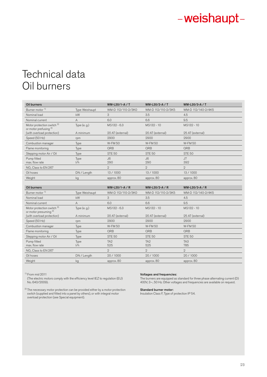# Technical data Oil burners

| Oil burners                                                               |                | WM-L20/1-A / T         | WM-L20/2-A / T         | WM-L20/3-A / T         |
|---------------------------------------------------------------------------|----------------|------------------------|------------------------|------------------------|
| Burner motor <sup>1)</sup>                                                | Type Weishaupt | WM-D 112/110-2/3K0     | WM-D 112/110-2/3K5     | WM-D 112/140-2/4K5     |
| Nominal load                                                              | kW             | 3                      | 3.5                    | 4.5                    |
| Nominal current                                                           | A              | 6.0                    | 6.6                    | 9.5                    |
| Motor protection switch <sup>2)</sup><br>or motor prefusing <sup>2)</sup> | Type $(e, g)$  | MS132 - 6.3            | MS132 - 10             | MS132 - 10             |
| (with overload protection)                                                | A minimum      | 20 AT (external)       | 20 AT (external)       | 25 AT (external)       |
| Speed (50 Hz)                                                             | rpm            | 2900                   | 2900                   | 2900                   |
| Combustion manager                                                        | Type           | <b>W-FM50</b>          | <b>W-FM50</b>          | <b>W-FM50</b>          |
| Flame monitoring                                                          | Type           | ORB                    | QRB                    | ORB                    |
| Stepping motor Air / Oil                                                  | Type           | <b>STE 50</b>          | <b>STE 50</b>          | <b>STE 50</b>          |
| Pump fitted<br>max, flow rate                                             | Type<br>1/h    | J6<br>290              | J6<br>290              | J7<br>392              |
| NO <sub>v</sub> Class to EN 267                                           |                | $\mathbf{2}$           | $\overline{2}$         | $\overline{2}$         |
| Oil hoses                                                                 | DN / Length    | 13 / 1000              | 13 / 1000              | 13 / 1000              |
| Weight                                                                    | kg             | approx. 80             | approx. 80             | approx. 80             |
|                                                                           |                |                        |                        |                        |
| <b>Oil burners</b>                                                        |                | WM-L20/1-A / R         | WM-L20/2-A / R         | WM-L20/3-A / R         |
| Burner motor <sup>1)</sup>                                                | Type Weishaupt | WM-D 112/110-2/3K0     | WM-D 112/110-2/3K5     | WM-D 112/140-2/4K5     |
| Nominal load                                                              | kW             | 3                      | 3.5                    | 4.5                    |
| Nominal current                                                           | A              | 6.0                    | 6.6                    | 9.5                    |
| Motor protection switch <sup>2)</sup><br>or motor presuming <sup>2)</sup> | Type $(e, g)$  | MS132 - 6.3            | MS132 - 10             | MS132 - 10             |
| (with overload protection)                                                | A minimum      | 20 AT (external)       | 20 AT (external)       | 25 AT (external)       |
| Speed (50 Hz)                                                             | rpm            | 2900                   | 2900                   | 2900                   |
| Combustion manager                                                        | Type           | <b>W-FM50</b>          | <b>W-FM50</b>          | <b>W-FM50</b>          |
| Flame monitoring                                                          | Type           | <b>QRB</b>             | QRB                    | ORB                    |
| Stepping motor Air / Oil                                                  | Type           | <b>STE 50</b>          | <b>STE 50</b>          | <b>STE 50</b>          |
| Pump fitted<br>max, flow rate                                             | Type<br>1/h    | TA <sub>2</sub><br>525 | TA <sub>2</sub><br>525 | TA <sub>3</sub><br>785 |
| NO <sub>v</sub> Class to EN 267                                           |                | $\mathcal{D}$          | $\mathcal{D}$          | $\mathfrak{D}$         |
| Oil hoses                                                                 | DN / Length    | 20 / 1000              | 20/1000                | 20 / 1000              |
| Weight                                                                    | kg             | approx. 80             | approx. 80             | approx. 80             |

1) From mid 2011

(The electric motors comply with the efficiency level IEZ to regulation (EU) No. 640/2009).

 $^{2)}$  The necessary motor protection can be provided either by a motor protection switch (supplied and fitted into a panel by others), or with integral motor overload protection (see Special equipment).

## Voltages and frequencies:

The burners are equipped as standard for three phase alternating current (D) 400V, 3~, 50 Hz. Other voltages and frequencies are available on request.

### Standard burner motor:

Insulation Class F, Type of protection IP 54.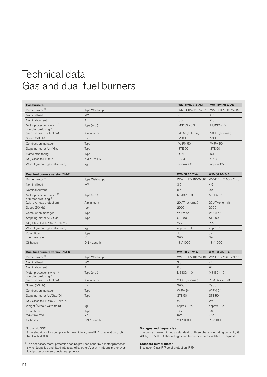# Technical data Gas and dual fuel burners

| <b>Gas burners</b>                                                        |                | <b>WM-G20/2-A ZM</b>   | <b>WM-G20/3-A ZM</b>                  |
|---------------------------------------------------------------------------|----------------|------------------------|---------------------------------------|
| Burner motor <sup>1)</sup>                                                | Type Weishaupt |                        | WM-D 112/110-2/3K0 WM-D 112/110-2/3K5 |
| Nominal load                                                              | kW             | 3.0                    | 3.5                                   |
| Nominal current                                                           | $\overline{A}$ | 6.0                    | 6.6                                   |
| Motor protection switch <sup>2)</sup><br>or motor prefusing <sup>2)</sup> | Type $(e, g)$  | MS132 - 6,3            | MS132 - 10                            |
| (with overload protection)                                                | A minimum      | 20 AT (external)       | 20 AT (external)                      |
| Speed (50 Hz)                                                             | rpm            | 2900                   | 2900                                  |
| Combustion manager                                                        | Type           | <b>W-FM50</b>          | <b>W-FM50</b>                         |
| Stepping motor Air / Gas                                                  | Type           | <b>STE 50</b>          | <b>STE 50</b>                         |
| Flame monitoring                                                          | Type           | <b>ION</b>             | <b>ION</b>                            |
| NO <sub>v</sub> Class to EN 676                                           | ZM / ZM-LN     | 2/3                    | 2/3                                   |
| Weight (without gas valve train)                                          | kg             | approx. 85             | approx. 85                            |
| Dual fuel burners version ZM-T                                            |                | <b>WM-GL20/2-A</b>     | <b>WM-GL20/3-A</b>                    |
| Burner motor <sup>1)</sup>                                                | Type Weishaupt |                        | WM-D 112/110-2/3K5 WM-D 112/140-2/4K5 |
| Nominal load                                                              | kW             | 3.5                    | 4.5                                   |
| Nominal current                                                           | A              | 6.6                    | 9.5                                   |
| Motor protection switch <sup>2)</sup>                                     | Type (e. g.)   | MS132 - 10             | MS132 - 10                            |
| or motor prefusing <sup>2)</sup><br>(with overload protection)            | A minimum      | 20 AT (external)       | 25 AT (external)                      |
| Speed (50 Hz)                                                             | rpm            | 2900                   | 2900                                  |
| Combustion manager                                                        | Type           | <b>W-FM 54</b>         | <b>W-FM 54</b>                        |
| Stepping motor Air / Gas                                                  | Type           | <b>STE 50</b>          | <b>STE 50</b>                         |
| NO <sub>v</sub> Class to EN 267 / EN 676                                  |                | 2/2                    | 2/2                                   |
| Weight (without gas valve train)                                          | kg             | approx. 101            | approx. 101                           |
| Pump fitted<br>max. flow rate                                             | Type<br>1/h    | J6<br>290              | J7<br>392                             |
| Oil hoses                                                                 | DN / Length    | 13 / 1000              | 13 / 1000                             |
|                                                                           |                |                        |                                       |
| Dual fuel burners version ZM-R                                            |                | <b>WM-GL20/2-A</b>     | <b>WM-GL20/3-A</b>                    |
| Burner motor <sup>1)</sup>                                                | Type Weishaupt |                        | WM-D 112/110-2/3K5 WM-D 112/140-2/4K5 |
| Nominal load                                                              | kW             | 3.5                    | 4.5                                   |
| Nominal current                                                           | Α              | 6.6                    | 9.5                                   |
| Motor protection switch <sup>2)</sup><br>or motor prefusing <sup>2)</sup> | Type $(e, g)$  | MS132 - 10             | MS132 - 10                            |
| (with overload protection)                                                | A minimum      | 20 AT (external)       | 25 AT (external)                      |
| Speed (50 Hz)                                                             | rpm            | 2900                   | 2900                                  |
| Combustion manager                                                        | Type           | <b>W-FM 54</b>         | <b>W-FM 54</b>                        |
| Stepping motor Air/Gas/Oil                                                | Type           | <b>STE 50</b>          | <b>STE 50</b>                         |
| NO. Class to EN 267 / EN 676                                              |                | 2/2                    | 2/2                                   |
| Weight (without valve train)                                              | kg             | approx. 105            | approx. 105                           |
| Pump fitted<br>max. flow rate                                             | Type<br>1/h    | TA <sub>2</sub><br>525 | TA <sub>3</sub><br>785                |
| Oil hoses                                                                 | DN / Length    | 20/1000                | 20 / 1000                             |

1) From mid 2011

(The electric motors comply with the efficiency level IEZ to regulation (EU) No. 640/2009).

## Voltages and frequencies:

The burners are equipped as standard for three phase alternating current (D) 400V, 3~, 50 Hz. Other voltages and frequencies are available on request.

 $^{2)}$  The necessary motor protection can be provided either by a motor protection switch (supplied and fitted into a panel by others), or with integral motor overload protection (see Special equipment).

## Standard burner motor:

Insulation Class F, Type of protection IP 54.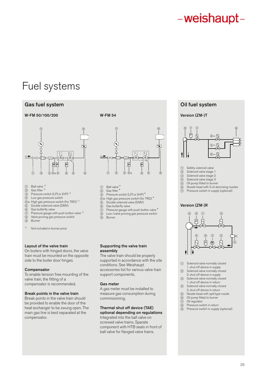# Fuel systems

# Gas fuel system **Gas fuel system**  $\bullet$  Oil fuel system

# W-FM 50/100/200 W-FM 54



- $(1)$  Ball valve  $1)$
- $(2)$  Gas filter<sup>1)</sup>
- 3 Pressure switch (LP) or (HP) 1)
- 4 Low gas pressure switch
- 4a High gas pressure switch (for TRD) 1)
- 5 Double solenoid valve (DMV)
- $6$  Gas butterfly valve<br> $(7)$  Pressure gauge wite
- Pressure gauge with push button valve <sup>1)</sup> 8 Valve proving gas pressure switch
- 
- 9 Burne
- <sup>1)</sup> Not included in burner price

# Layout of the valve train

On boilers with hinged doors, the valve train must be mounted on the opposite side to the boiler door hinges.

## **Compensator**

To enable tension free mounting of the valve train, the fitting of a compensator is recommended.

## Break points in the valve train

Break points in the valve train should be provided to enable the door of the heat exchanger to be swung open. The main gas line is best separated at the compensator.



- 
- 1 Ball valve<sup>\*</sup><br>2 Gas filter<sup>\*</sup>
- 2 Gas filter Pressure switch (LP) or (HP)<sup>\*</sup>
- 4a High gas pressure switch (for TRD) \*
- 
- 5 Double solenoid valve (DMV)<br>
6 Gas butterfly valve
- $\overline{6}$  Gas butterfly valve<br>  $\overline{7}$  Pressure gauge with Pressure gauge with push button valve \*
- $\overline{\textcircled{\textcirc}}$  Low /valve proving gas pressure switch<br>  $\overline{\textcircled{\textcirc}}$  Burner
- **Burner**

## Supporting the valve train assembly

The valve train should be properly supported in accordance with the site conditions. See Weishaupt accessories list for various valve train support components.

## Gas meter

A gas meter must be installed to measure gas consumption during commissioning.

# Thermal shut off device (TAE)

optional depending on regulations Integrated into the ball valve on screwed valve trains. Sparate component with HTB seals in front of ball valve for flanged valve trains.

# Version (ZM-)T



- 
- 1 Safety solenoid valve<br>2 Solenoid valve stage 2 Solenoid valve stage 1<br>3 Solenoid valve stage 2
- 3 Solenoid valve stage 2<br>4 Solenoid valve stage 3
- 4 Solenoid valve stage 3<br>
5 Oil pump fitted to burne
- 5 Oil pump fitted to burner<br>
6 Nozzle head with 3 oil at 6 Nozzle head with 3 oil atomising nozzles
- $\overline{O}$  Pressure switch in supply (optional)

## Version (ZM-)R



- 1 Solenoid valve normally closed
- 1. shut off device in supply<br>
(2) Solenoid valve normally clo Solenoid valve normally closed
- 2. shut off device in supply<br>3) Solenoid valve normally close Solenoid valve normally closed
- 1. shut off device in return<br>4 Solenoid valve normally clo Solenoid valve normally closed
- 2. shut off device in return
- 5 Nozzle head with spill type nozzle
- $\overline{\textcircled{\textcirc}}$  Oil pump fitted to burner<br>  $\overline{\textcircled{\textcirc}}$  Oil regulator Oil regulator
- 8 Pressure switch in return
- 9 Pressure switch in supply (optional)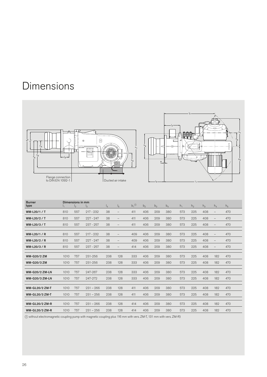# Dimensions



| <b>Burner</b><br>type | I1   | Dimensions in mm<br>I <sub>2</sub> | $_{\rm 13}$ | $I_4$ | $I_5$             | $b_1$ <sup><math>\circledcirc</math></sup> | b <sub>2</sub> | $b_3$ | $b_4$ | $h_1$ | h <sub>2</sub> | $h_3$ | $h_4$                    | h <sub>5</sub> |
|-----------------------|------|------------------------------------|-------------|-------|-------------------|--------------------------------------------|----------------|-------|-------|-------|----------------|-------|--------------------------|----------------|
| WM-L20/1 / T          | 810  | 557                                | $217 - 232$ | 38    | $\qquad \qquad -$ | 411                                        | 406            | 209   | 380   | 573   | 225            | 408   | $\qquad \qquad -$        | 470            |
| WM-L20/2 / T          | 810  | 557                                | $227 - 247$ | 38    | $\qquad \qquad -$ | 411                                        | 406            | 209   | 380   | 573   | 225            | 408   | $\qquad \qquad -$        | 470            |
| WM-L20/3/T            | 810  | 557                                | $237 - 257$ | 38    | $\qquad \qquad -$ | 411                                        | 406            | 209   | 380   | 573   | 225            | 408   | $\qquad \qquad -$        | 470            |
| WM-L20/1 / R          | 810  | 557                                | $917 - 939$ | 38    | $\qquad \qquad -$ | 409                                        | 406            | 209   | 380   | 573   | 225            | 408   | $\qquad \qquad -$        | 470            |
| WM-L20/2 / R          | 810  | 557                                | $227 - 247$ | 38    | $\qquad \qquad -$ | 409                                        | 406            | 209   | 380   | 573   | 225            | 408   | $\overline{\phantom{m}}$ | 470            |
| WM-L20/3 / R          | 810  | 557                                | $237 - 257$ | 38    | $\qquad \qquad -$ | 414                                        | 406            | 209   | 380   | 573   | 225            | 408   | $\qquad \qquad -$        | 470            |
| <b>WM-G20/2 ZM</b>    | 1010 | 757                                | 231-256     | 238   | 128               | 333                                        | 406            | 209   | 380   | 573   | 225            | 408   | 182                      | 470            |
| <b>WM-G20/3 ZM</b>    | 1010 | 757                                | 231-256     | 238   | 128               | 333                                        | 406            | 209   | 380   | 573   | 225            | 408   | 182                      | 470            |
| <b>WM-G20/2 ZM-LN</b> | 1010 | 757                                | 247-267     | 238   | 128               | 333                                        | 406            | 209   | 380   | 573   | 225            | 408   | 182                      | 470            |
| <b>WM-G20/3 ZM-LN</b> | 1010 | 757                                | 247-272     | 238   | 128               | 333                                        | 406            | 209   | 380   | 573   | 225            | 408   | 182                      | 470            |
| <b>WM-GL20/2 ZM-T</b> | 1010 | 757                                | $231 - 266$ | 238   | 128               | 411                                        | 406            | 209   | 380   | 573   | 225            | 408   | 182                      | 470            |
| <b>WM-GL20/3 ZM-T</b> | 1010 | 757                                | $231 - 256$ | 238   | 128               | 411                                        | 406            | 209   | 380   | 573   | 225            | 408   | 182                      | 470            |
| <b>WM-GL20/2 ZM-R</b> | 1010 | 757                                | $231 - 266$ | 238   | 128               | 414                                        | 406            | 209   | 380   | 573   | 225            | 408   | 182                      | 470            |
| <b>WM-GL20/3 ZM-R</b> | 1010 | 757                                | $231 - 256$ | 238   | 128               | 414                                        | 406            | 209   | 380   | 573   | 225            | 408   | 182                      | 470            |

1 without electromagnetic coupling pump with magnetic coupling plus 116 mm with vers. ZM-T, 131 mm with vers. ZM-R)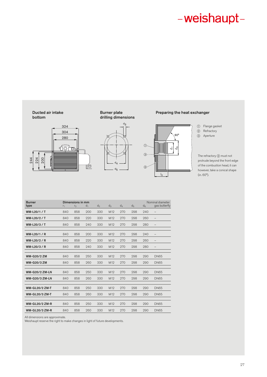## Ducted air intake bottom



# Burner plate drilling dimensions



# Preparing the heat exchanger



## 1 Flange gasket 2 Refractory

3 Aperture

The refractory 2 must not protrude beyond the front edge of the combustion head, it can however, take a conical shape (in. 60°).

| <b>Burner</b><br>type | r <sub>1</sub> | Dimensions in mm<br>r <sub>2</sub> | $d_1$ | $d_2$ | $d_{3}$         | $d_4$ | d <sub>5</sub> | Nominal diameter<br>gas butterfly<br>d <sub>6</sub> |                          |  |
|-----------------------|----------------|------------------------------------|-------|-------|-----------------|-------|----------------|-----------------------------------------------------|--------------------------|--|
| WM-L20/1/T            | 840            | 858                                | 200   | 330   | M <sub>12</sub> | 270   | 298            | 240                                                 | -                        |  |
| WM-L20/2/T            | 840            | 858                                | 220   | 330   | M <sub>12</sub> | 270   | 298            | 260                                                 | $\overline{\phantom{m}}$ |  |
| WM-L20/3/T            | 840            | 858                                | 240   | 330   | M <sub>12</sub> | 270   | 298            | 280                                                 | $\qquad \qquad -$        |  |
|                       |                |                                    |       |       |                 |       |                |                                                     |                          |  |
| WM-L20/1 / R          | 840            | 858                                | 200   | 330   | M <sub>12</sub> | 270   | 298            | 240                                                 | -                        |  |
| WM-L20/2 / R          | 840            | 858                                | 220   | 330   | M <sub>12</sub> | 270   | 298            | 260                                                 | $\qquad \qquad -$        |  |
| WM-L20/3 / R          | 840            | 858                                | 240   | 330   | M <sub>12</sub> | 270   | 298            | 280                                                 | $\qquad \qquad -$        |  |
|                       |                |                                    |       |       |                 |       |                |                                                     |                          |  |
| <b>WM-G20/2 ZM</b>    | 840            | 858                                | 250   | 330   | M <sub>12</sub> | 270   | 298            | 290                                                 | <b>DN65</b>              |  |
| <b>WM-G20/3 ZM</b>    | 840            | 858                                | 260   | 330   | M <sub>12</sub> | 270   | 298            | 290                                                 | <b>DN65</b>              |  |
|                       |                |                                    |       |       |                 |       |                |                                                     |                          |  |
| <b>WM-G20/2 ZM-LN</b> | 840            | 858                                | 250   | 330   | M <sub>12</sub> | 270   | 298            | 290                                                 | <b>DN65</b>              |  |
| <b>WM-G20/3 ZM-LN</b> | 840            | 858                                | 260   | 330   | M <sub>12</sub> | 270   | 298            | 290                                                 | <b>DN65</b>              |  |
|                       |                |                                    |       |       |                 |       |                |                                                     |                          |  |
| <b>WM-GL20/2 ZM-T</b> | 840            | 858                                | 250   | 330   | M <sub>12</sub> | 270   | 298            | 290                                                 | <b>DN65</b>              |  |
| <b>WM-GL20/3 ZM-T</b> | 840            | 858                                | 260   | 330   | M <sub>12</sub> | 270   | 298            | 290                                                 | <b>DN65</b>              |  |
|                       |                |                                    |       |       |                 |       |                |                                                     |                          |  |
| <b>WM-GL20/2 ZM-R</b> | 840            | 858                                | 250   | 330   | M <sub>12</sub> | 270   | 298            | 290                                                 | <b>DN65</b>              |  |
| <b>WM-GL20/3 ZM-R</b> | 840            | 858                                | 260   | 330   | M <sub>12</sub> | 270   | 298            | 290                                                 | <b>DN65</b>              |  |
|                       |                |                                    |       |       |                 |       |                |                                                     |                          |  |

All dimensions are approximate.

Weishaupt reserve the right to make changes in light of future developments.